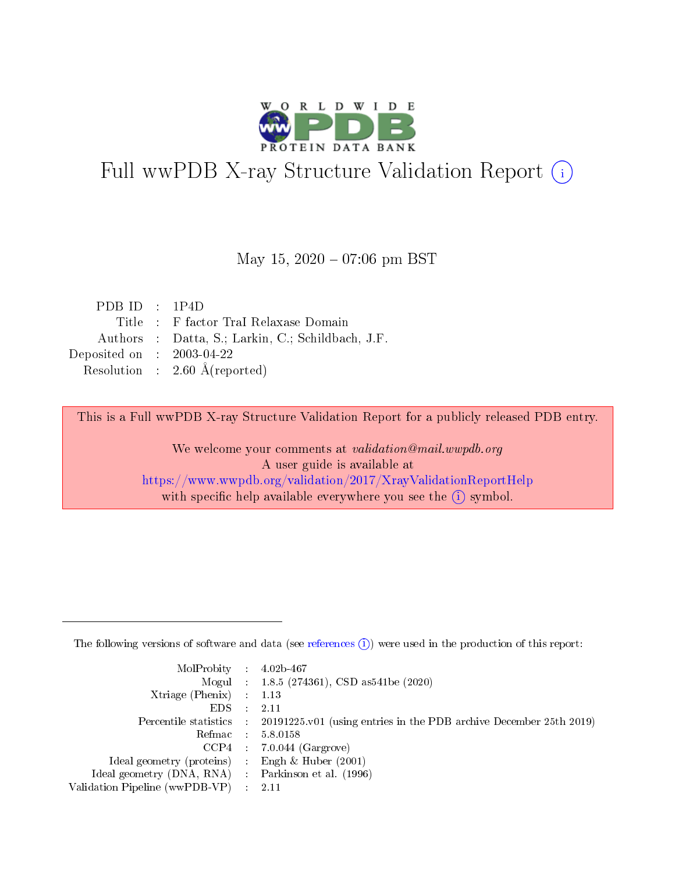

# Full wwPDB X-ray Structure Validation Report (i)

#### May 15,  $2020 - 07:06$  pm BST

| PDB ID : $1P4D$             |                                                   |
|-----------------------------|---------------------------------------------------|
|                             | Title : F factor Tral Relaxase Domain             |
|                             | Authors : Datta, S.; Larkin, C.; Schildbach, J.F. |
| Deposited on : $2003-04-22$ |                                                   |
|                             | Resolution : $2.60 \text{ Å}$ (reported)          |

This is a Full wwPDB X-ray Structure Validation Report for a publicly released PDB entry.

We welcome your comments at validation@mail.wwpdb.org A user guide is available at <https://www.wwpdb.org/validation/2017/XrayValidationReportHelp> with specific help available everywhere you see the  $(i)$  symbol.

The following versions of software and data (see [references](https://www.wwpdb.org/validation/2017/XrayValidationReportHelp#references)  $(1)$ ) were used in the production of this report:

| MolProbity : $4.02b-467$                            |                                                                                              |
|-----------------------------------------------------|----------------------------------------------------------------------------------------------|
|                                                     | Mogul : 1.8.5 (274361), CSD as 541 be (2020)                                                 |
| Xtriage (Phenix) $: 1.13$                           |                                                                                              |
| $EDS$ :                                             | -2.11                                                                                        |
|                                                     | Percentile statistics : $20191225.v01$ (using entries in the PDB archive December 25th 2019) |
| Refmac : 5.8.0158                                   |                                                                                              |
|                                                     | $CCP4$ : 7.0.044 (Gargrove)                                                                  |
| Ideal geometry (proteins) :                         | Engh $\&$ Huber (2001)                                                                       |
| Ideal geometry (DNA, RNA) : Parkinson et al. (1996) |                                                                                              |
| Validation Pipeline (wwPDB-VP) : 2.11               |                                                                                              |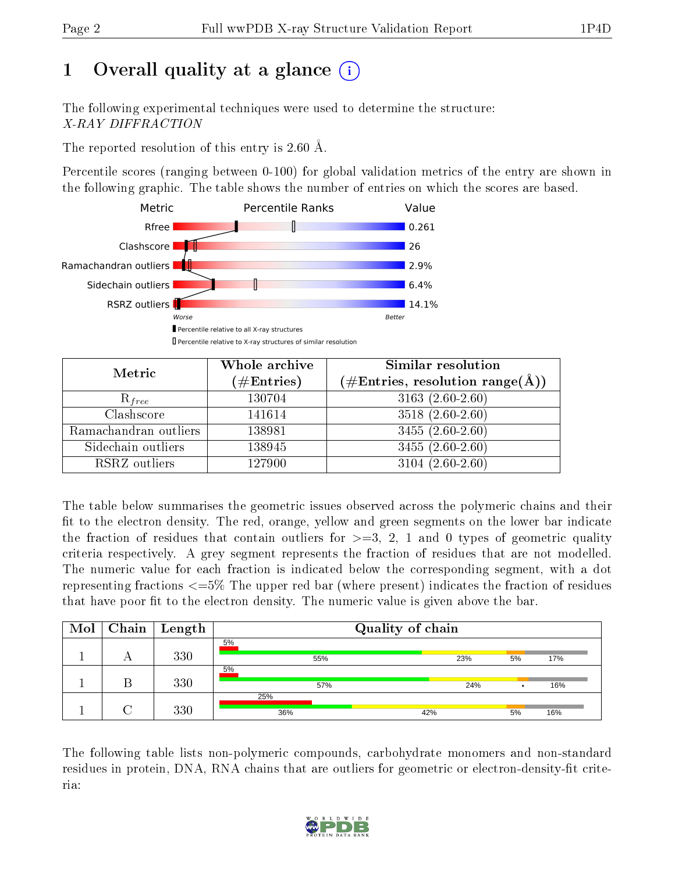# 1 [O](https://www.wwpdb.org/validation/2017/XrayValidationReportHelp#overall_quality)verall quality at a glance  $(i)$

The following experimental techniques were used to determine the structure: X-RAY DIFFRACTION

The reported resolution of this entry is 2.60 Å.

Percentile scores (ranging between 0-100) for global validation metrics of the entry are shown in the following graphic. The table shows the number of entries on which the scores are based.



| Metric                | Whole archive        | Similar resolution                                         |
|-----------------------|----------------------|------------------------------------------------------------|
|                       | $(\#\text{Entries})$ | $(\#\text{Entries}, \text{resolution range}(\text{\AA})\)$ |
| $R_{free}$            | 130704               | $3163(2.60-2.60)$                                          |
| Clashscore            | 141614               | $3518(2.60-2.60)$                                          |
| Ramachandran outliers | 138981               | $3455(2.60-2.60)$                                          |
| Sidechain outliers    | 138945               | $3455(2.60-2.60)$                                          |
| RSRZ outliers         | 127900               | $3104(2.60-2.60)$                                          |

The table below summarises the geometric issues observed across the polymeric chains and their fit to the electron density. The red, orange, yellow and green segments on the lower bar indicate the fraction of residues that contain outliers for  $\geq=3$ , 2, 1 and 0 types of geometric quality criteria respectively. A grey segment represents the fraction of residues that are not modelled. The numeric value for each fraction is indicated below the corresponding segment, with a dot representing fractions <=5% The upper red bar (where present) indicates the fraction of residues that have poor fit to the electron density. The numeric value is given above the bar.

| Mol |   | $\boxed{\text{Chain}}$   Length | Quality of chain |     |    |     |  |
|-----|---|---------------------------------|------------------|-----|----|-----|--|
|     | A | 330                             | 5%<br>55%        | 23% | 5% | 17% |  |
|     |   | 330                             | 5%<br>57%        | 24% |    | 16% |  |
|     |   | 330                             | 25%<br>36%       | 42% | 5% | 16% |  |

The following table lists non-polymeric compounds, carbohydrate monomers and non-standard residues in protein, DNA, RNA chains that are outliers for geometric or electron-density-fit criteria:

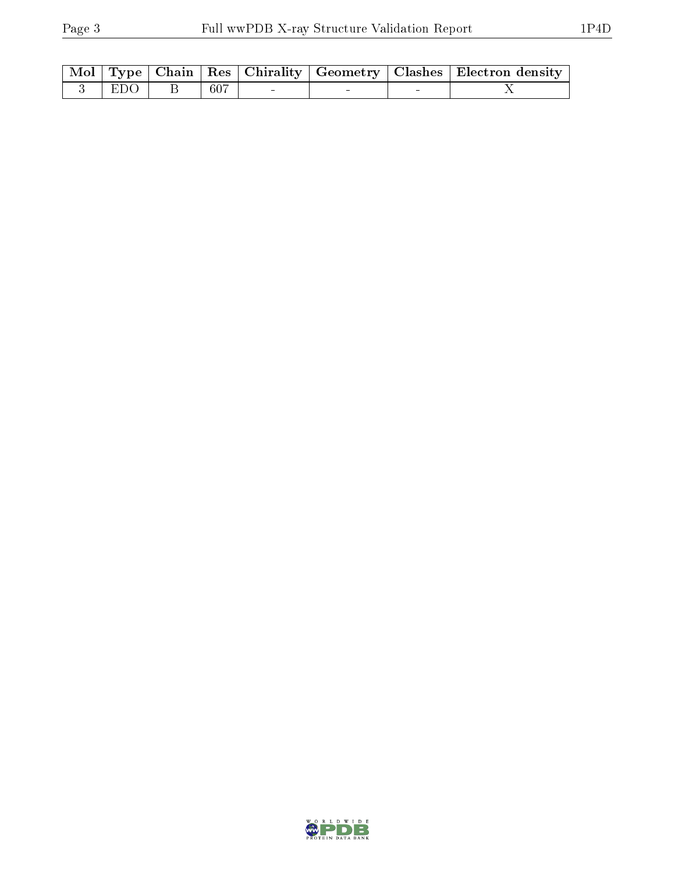|            |     |  | Mol   Type   Chain   Res   Chirality   Geometry   Clashes   Electron density |
|------------|-----|--|------------------------------------------------------------------------------|
| $-3$   EDO | 607 |  |                                                                              |

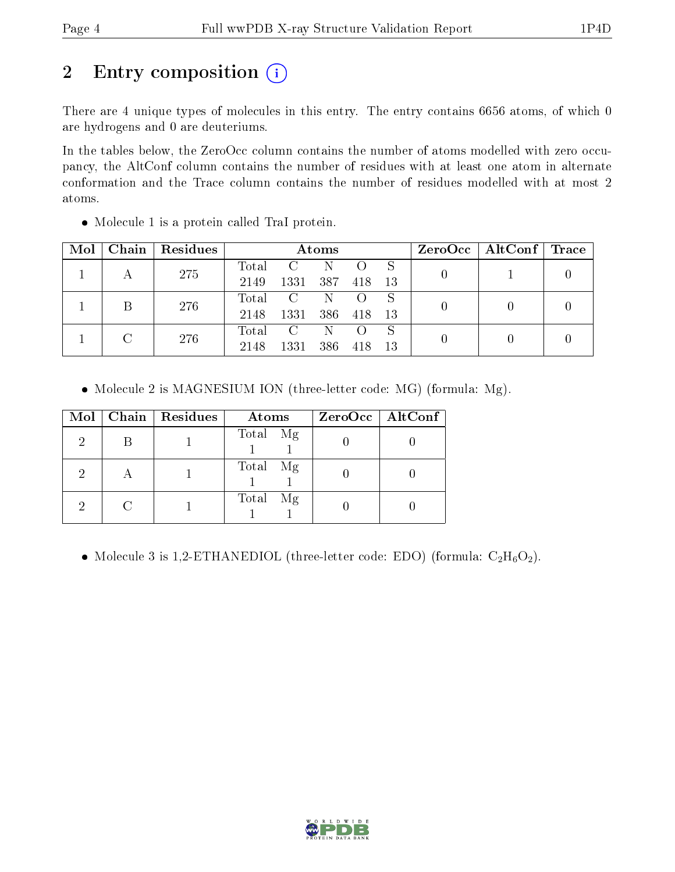# 2 Entry composition (i)

There are 4 unique types of molecules in this entry. The entry contains 6656 atoms, of which 0 are hydrogens and 0 are deuteriums.

In the tables below, the ZeroOcc column contains the number of atoms modelled with zero occupancy, the AltConf column contains the number of residues with at least one atom in alternate conformation and the Trace column contains the number of residues modelled with at most 2 atoms.

| Mol |  | Chain   Residues | Atoms |                         |     |     |     | $ZeroOcc \mid AltConf \mid$ | $\operatorname{Trace}$ |  |
|-----|--|------------------|-------|-------------------------|-----|-----|-----|-----------------------------|------------------------|--|
|     |  | 275              | Total | $\mathcal{C}$           | N   |     | S   |                             |                        |  |
|     |  |                  | 2149  | 1331                    | 387 | 418 | 13  |                             |                        |  |
|     |  | 276              | Total | $\overline{\mathbf{C}}$ | N   |     | S   |                             |                        |  |
|     |  |                  | 2148  | 1331                    | 386 | 418 | -13 |                             |                        |  |
|     |  | 276              | Total | $\mathcal{C}$           | -N  |     | S   |                             |                        |  |
|     |  | 2148             | 1331  | 386                     | 418 | -13 |     |                             |                        |  |

Molecule 1 is a protein called TraI protein.

• Molecule 2 is MAGNESIUM ION (three-letter code: MG) (formula: Mg).

| $\bf{Mol}$ |   | Chain   Residues | Atoms       | $ZeroOcc \   \$ AltConf |
|------------|---|------------------|-------------|-------------------------|
| 2          |   |                  | Total Mg    |                         |
| റ          | А |                  | Total Mg    |                         |
|            |   |                  | Total<br>Mg |                         |

• Molecule 3 is 1,2-ETHANEDIOL (three-letter code: EDO) (formula:  $C_2H_6O_2$ ).

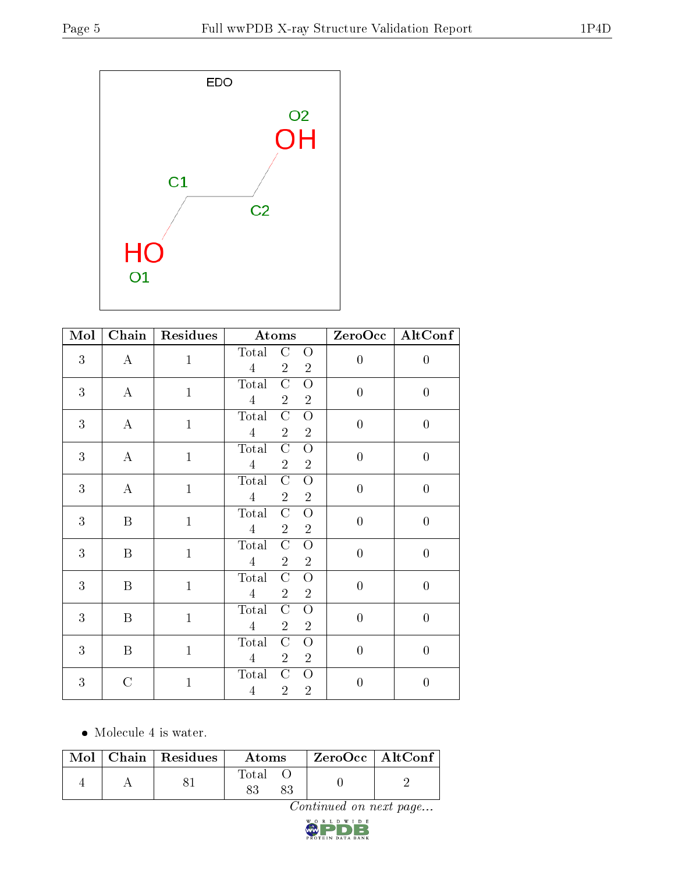

| Mol            | $\overline{\text{Chain}}$ | <b>Residues</b> | Atoms                                                                                               | ZeroOcc          | $\overline{\text{AltConf}}$ |
|----------------|---------------------------|-----------------|-----------------------------------------------------------------------------------------------------|------------------|-----------------------------|
| 3              | $\bf{A}$                  | $\mathbf{1}$    | Total<br>$\rm C$<br>O<br>$\overline{2}$<br>$\overline{4}$<br>$\overline{2}$                         | $\overline{0}$   | $\overline{0}$              |
| $\mathfrak{Z}$ | $\bf{A}$                  | $\mathbf{1}$    | $\overline{\rm C}$<br>Total<br>$\overline{O}$<br>$\overline{4}$<br>$\overline{2}$<br>$\overline{2}$ | $\boldsymbol{0}$ | $\boldsymbol{0}$            |
| 3              | $\bf{A}$                  | $\mathbf{1}$    | Total<br>$\rm C$<br>$\overline{O}$<br>$\overline{4}$<br>$\overline{2}$<br>$\overline{2}$            | $\boldsymbol{0}$ | $\boldsymbol{0}$            |
| 3              | $\mathbf A$               | $\mathbf{1}$    | Total<br>$\mathcal{C}$<br>O<br>$\overline{4}$<br>$\overline{2}$<br>$\overline{2}$                   | $\overline{0}$   | $\overline{0}$              |
| 3              | $\bf{A}$                  | $\mathbf{1}$    | Total<br>$\mathcal C$<br>$\overline{O}$<br>$\overline{2}$<br>$\overline{2}$<br>$\overline{4}$       | $\overline{0}$   | $\overline{0}$              |
| 3              | B                         | $\mathbf{1}$    | Total<br>$\mathcal{C}$<br>$\overline{O}$<br>$\sqrt{2}$<br>$\overline{4}$<br>$\overline{2}$          | $\overline{0}$   | $\boldsymbol{0}$            |
| 3              | B                         | $\mathbf{1}$    | $\overline{C}$<br>Total<br>$\overline{O}$<br>$\overline{4}$<br>$\overline{2}$<br>$\overline{2}$     | $\overline{0}$   | $\boldsymbol{0}$            |
| 3              | B                         | $\mathbf{1}$    | $\rm C$<br>Total<br>$\overline{O}$<br>$\overline{4}$<br>$\overline{2}$<br>$\overline{2}$            | $\boldsymbol{0}$ | $\boldsymbol{0}$            |
| 3              | $\boldsymbol{B}$          | $\mathbf{1}$    | Total<br>$\rm C$<br>$\overline{O}$<br>$\overline{2}$<br>$\overline{4}$<br>$\overline{2}$            | $\overline{0}$   | $\overline{0}$              |
| 3              | $\boldsymbol{B}$          | $\mathbf{1}$    | $\overline{C}$<br>Total<br>$\overline{O}$<br>$\overline{2}$<br>$\overline{4}$<br>$\overline{2}$     | $\overline{0}$   | $\boldsymbol{0}$            |
| 3              | $\mathcal{C}$             | $\mathbf{1}$    | Total<br>$\rm C$<br>O<br>$\overline{2}$<br>$\overline{4}$<br>$\overline{2}$                         | $\overline{0}$   | $\boldsymbol{0}$            |

• Molecule 4 is water.

|  | $Mol$   Chain   Residues | <b>Atoms</b> | ZeroOcc   AltConf |  |
|--|--------------------------|--------------|-------------------|--|
|  |                          | Total        |                   |  |

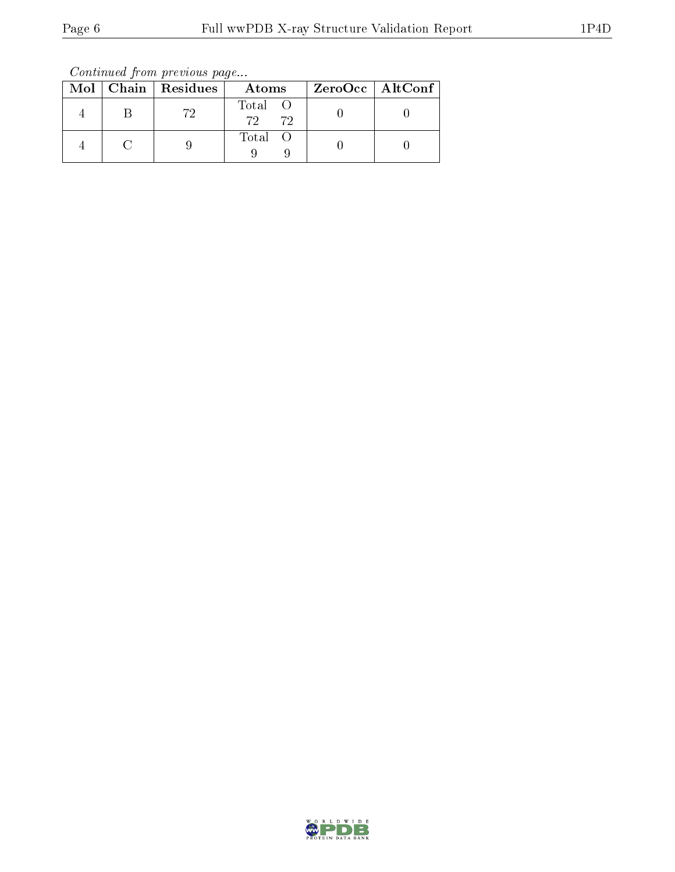Continued from previous page...

|  | Mol   Chain   Residues | Atoms                 | ZeroOcc   AltConf |
|--|------------------------|-----------------------|-------------------|
|  | 79.                    | Total O<br>72<br>- 72 |                   |
|  |                        | Total O               |                   |

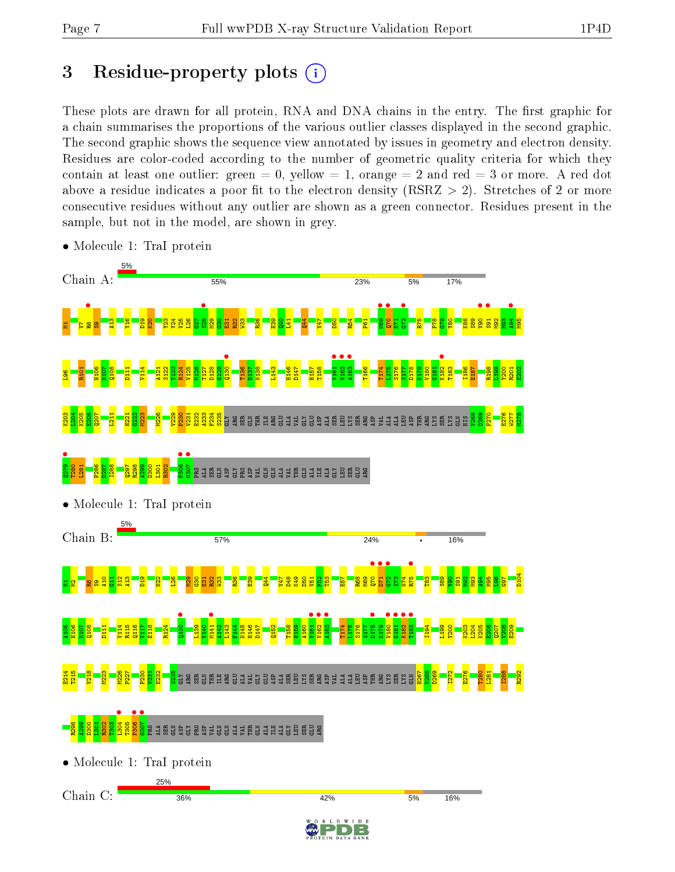# 3 Residue-property plots  $(i)$

These plots are drawn for all protein, RNA and DNA chains in the entry. The first graphic for a chain summarises the proportions of the various outlier classes displayed in the second graphic. The second graphic shows the sequence view annotated by issues in geometry and electron density. Residues are color-coded according to the number of geometric quality criteria for which they contain at least one outlier: green  $= 0$ , yellow  $= 1$ , orange  $= 2$  and red  $= 3$  or more. A red dot above a residue indicates a poor fit to the electron density (RSRZ  $> 2$ ). Stretches of 2 or more consecutive residues without any outlier are shown as a green connector. Residues present in the sample, but not in the model, are shown in grey.



• Molecule 1: TraI protein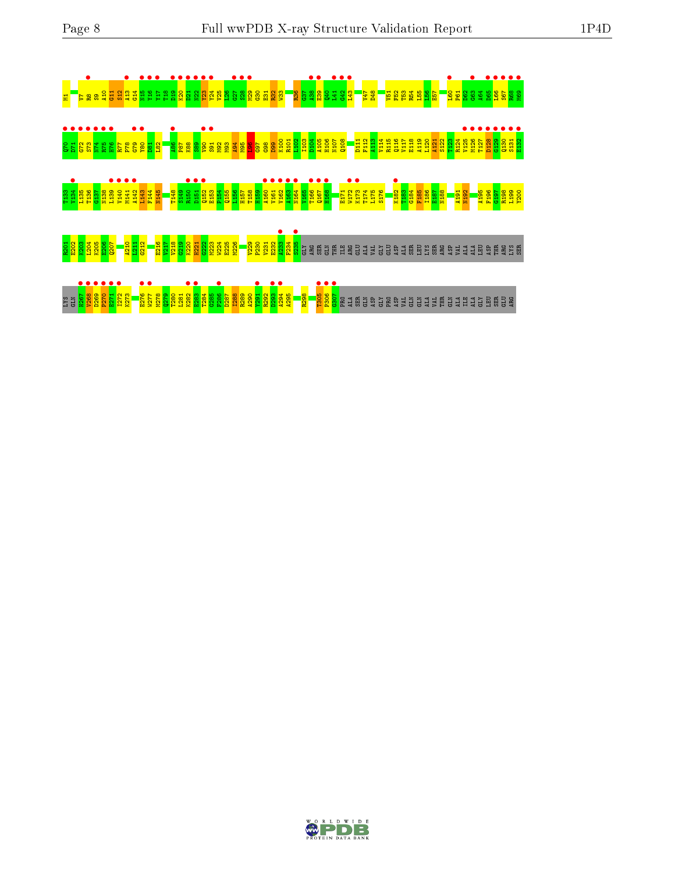



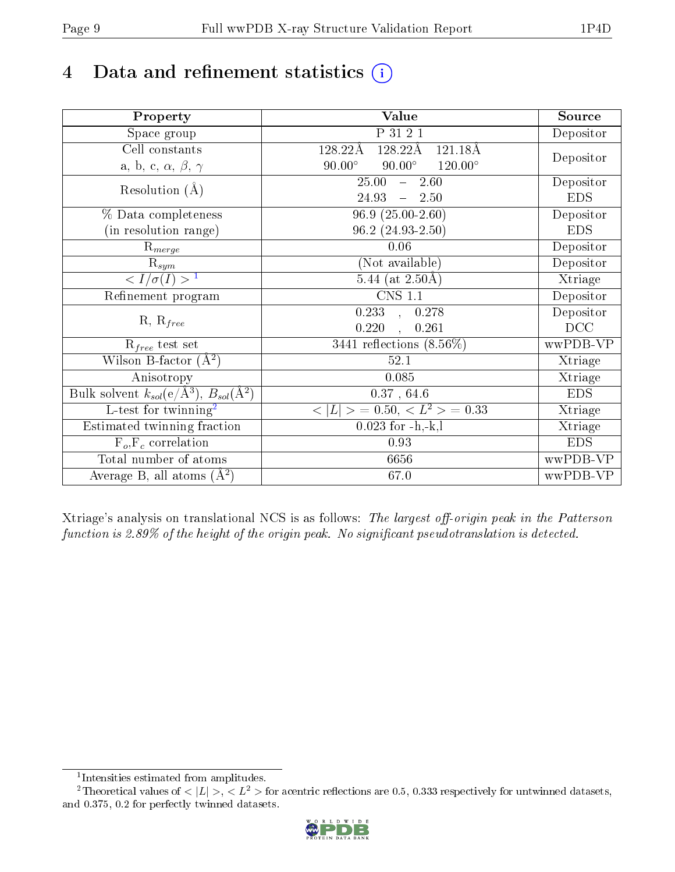# 4 Data and refinement statistics  $(i)$

| Property                                                             | Value                                               | Source     |
|----------------------------------------------------------------------|-----------------------------------------------------|------------|
| Space group                                                          | P 31 2 1                                            | Depositor  |
| Cell constants                                                       | $128.22\text{\AA}$<br>$121.18\text{\AA}$<br>128.22Å |            |
| a, b, c, $\alpha$ , $\beta$ , $\gamma$                               | $90.00^\circ$<br>$90.00^\circ$<br>$120.00^{\circ}$  | Depositor  |
| Resolution $(A)$                                                     | 25.00<br>$-2.60$                                    | Depositor  |
|                                                                      | $24.93 - 2.50$                                      | <b>EDS</b> |
| % Data completeness                                                  | $96.9(25.00-2.60)$                                  | Depositor  |
| (in resolution range)                                                | $96.2(24.93-2.50)$                                  | <b>EDS</b> |
| $R_{merge}$                                                          | 0.06                                                | Depositor  |
| $\mathrm{R}_{sym}$                                                   | (Not available)                                     | Depositor  |
| $\sqrt{I/\sigma}(I) > 1$                                             | 5.44 (at $2.50\text{\AA}$ )                         | Xtriage    |
| Refinement program                                                   | <b>CNS 1.1</b>                                      | Depositor  |
|                                                                      | $\overline{0.233}$ ,<br>0.278                       | Depositor  |
| $R, R_{free}$                                                        | 0.220<br>0.261                                      | DCC        |
| $R_{free}$ test set                                                  | 3441 reflections $(8.56\%)$                         | wwPDB-VP   |
| Wilson B-factor $(A^2)$                                              | 52.1                                                | Xtriage    |
| Anisotropy                                                           | 0.085                                               | Xtriage    |
| Bulk solvent $k_{sol}(e/\mathring{A}^3)$ , $B_{sol}(\mathring{A}^2)$ | $0.37$ , 64.6                                       | <b>EDS</b> |
| L-test for twinning <sup>2</sup>                                     | $< L >$ = 0.50, $< L2$ > = 0.33                     | Xtriage    |
| Estimated twinning fraction                                          | $0.023$ for $-h,-k,l$                               | Xtriage    |
| $F_o, F_c$ correlation                                               | 0.93                                                | <b>EDS</b> |
| Total number of atoms                                                | 6656                                                | wwPDB-VP   |
| Average B, all atoms $(A^2)$                                         | 67.0                                                | wwPDB-VP   |

Xtriage's analysis on translational NCS is as follows: The largest off-origin peak in the Patterson function is  $2.89\%$  of the height of the origin peak. No significant pseudotranslation is detected.

<sup>&</sup>lt;sup>2</sup>Theoretical values of  $\langle |L| \rangle$ ,  $\langle L^2 \rangle$  for acentric reflections are 0.5, 0.333 respectively for untwinned datasets, and 0.375, 0.2 for perfectly twinned datasets.



<span id="page-8-1"></span><span id="page-8-0"></span><sup>1</sup> Intensities estimated from amplitudes.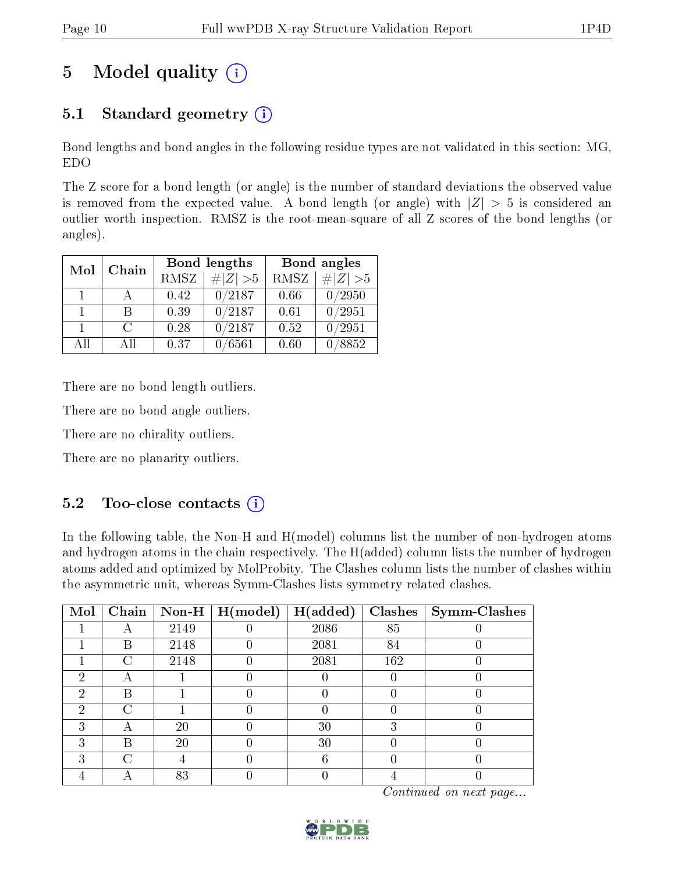# 5 Model quality  $(i)$

## 5.1 Standard geometry  $(i)$

Bond lengths and bond angles in the following residue types are not validated in this section: MG, EDO

The Z score for a bond length (or angle) is the number of standard deviations the observed value is removed from the expected value. A bond length (or angle) with  $|Z| > 5$  is considered an outlier worth inspection. RMSZ is the root-mean-square of all Z scores of the bond lengths (or angles).

| Mol          | Chain  |             | Bond lengths    | Bond angles |                     |  |
|--------------|--------|-------------|-----------------|-------------|---------------------|--|
|              |        | <b>RMSZ</b> | $\# Z  > 5$     | RMSZ        | # $ Z  > 5$         |  |
| 1.           |        | 0.42        | 0/2187          | 0.66        | 0/2950              |  |
| $\mathbf{1}$ | R      | 0.39        | 0/2187          | 0.61        | $\overline{0/2951}$ |  |
|              | $\cap$ | 0.28        | 0/2187          | 0.52        | 0/2951              |  |
| All          | ΑĦ     | 0.37        | $^{\prime}6561$ | 0.60        | 8852                |  |

There are no bond length outliers.

There are no bond angle outliers.

There are no chirality outliers.

There are no planarity outliers.

## 5.2 Too-close contacts  $(i)$

In the following table, the Non-H and H(model) columns list the number of non-hydrogen atoms and hydrogen atoms in the chain respectively. The H(added) column lists the number of hydrogen atoms added and optimized by MolProbity. The Clashes column lists the number of clashes within the asymmetric unit, whereas Symm-Clashes lists symmetry related clashes.

| Mol | Chain |      | Non-H $\mid$ H(model) | H(added) | Clashes | $\vert$ Symm-Clashes |
|-----|-------|------|-----------------------|----------|---------|----------------------|
|     |       | 2149 |                       | 2086     | 85      |                      |
|     | В     | 2148 |                       | 2081     | 84      |                      |
|     | C     | 2148 |                       | 2081     | 162     |                      |
| 2   | A     |      |                       |          |         |                      |
| 2   | В     |      |                       |          |         |                      |
| 2   | C     |      |                       |          |         |                      |
| 3   | А     | 20   |                       | 30       | ച       |                      |
| 3   | В     | 20   |                       | 30       |         |                      |
| 3   | C     |      |                       | հ        |         |                      |
|     |       | 83   |                       |          |         |                      |

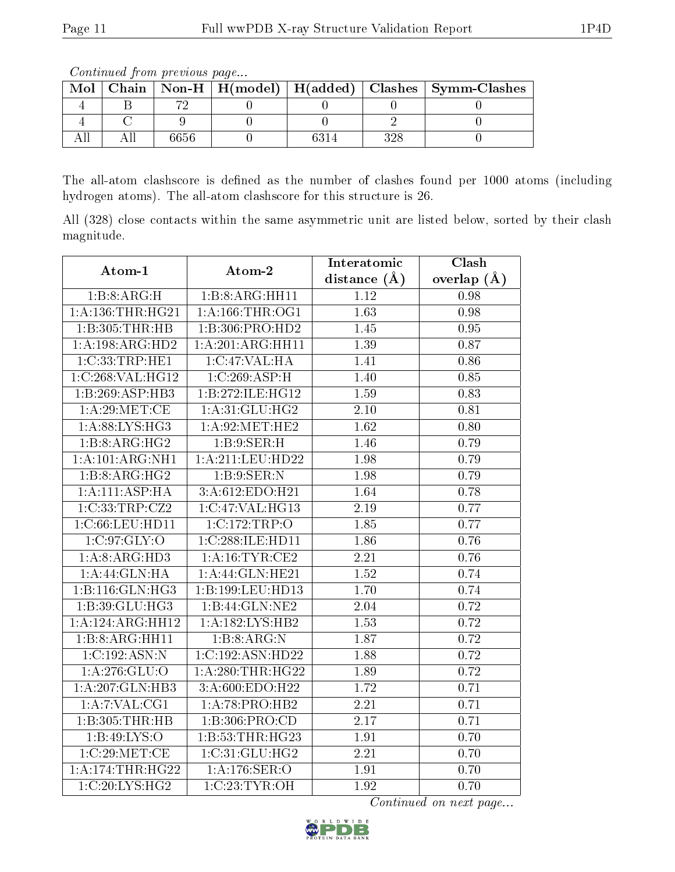The all-atom clashscore is defined as the number of clashes found per 1000 atoms (including hydrogen atoms). The all-atom clashscore for this structure is 26.

All (328) close contacts within the same asymmetric unit are listed below, sorted by their clash magnitude.

| Atom-1               | Atom-2             | Interatomic       | $\overline{\text{Clash}}$ |
|----------------------|--------------------|-------------------|---------------------------|
|                      |                    | distance $(A)$    | overlap $(\AA)$           |
| 1:B:8:ARG:H          | 1:B:8:ARG:HH11     | 1.12              | 0.98                      |
| 1: A: 136: THR: HG21 | 1: A:166:THR:OG1   | $\overline{1.63}$ | 0.98                      |
| 1:B:305:THR:HB       | 1:B:306:PRO:HD2    | 1.45              | $0.95\,$                  |
| 1:A:198:ARG:HD2      | 1:A:201:ARG:HH11   | 1.39              | 0.87                      |
| 1:C:33:TRP:HE1       | 1:C:47:VAL:HA      | 1.41              | 0.86                      |
| 1:C:268:VAL:HG12     | 1:C:269:ASP:H      | 1.40              | 0.85                      |
| 1:B:269:ASP:HB3      | 1:B:272:ILE:HG12   | 1.59              | 0.83                      |
| 1: A:29: MET:CE      | 1: A:31: GLU: HG2  | 2.10              | 0.81                      |
| 1: A:88: LYS: HG3    | 1: A:92: MET:HE2   | $\overline{1.62}$ | 0.80                      |
| 1:B:8:ARG:HG2        | 1: B:9: SER:H      | 1.46              | 0.79                      |
| 1:A:101:ARG:NH1      | 1:A:211:LEU:HD22   | 1.98              | 0.79                      |
| 1:B:8:ARG:HG2        | 1:B:9:SER:N        | 1.98              | 0.79                      |
| 1: A:111: ASP:HA     | 3:A:612:EDO:H21    | 1.64              | 0.78                      |
| 1:C:33:TRP:CZ2       | 1:C:47:VAL:HG13    | 2.19              | 0.77                      |
| 1:C:66:LEU:HD11      | 1:C:172:TRP:O      | 1.85              | 0.77                      |
| 1:C:97:GLY:O         | 1:C:288:ILE:HD11   | 1.86              | 0.76                      |
| 1:A:8:ARG:HD3        | 1: A:16:TYR:CE2    | 2.21              | 0.76                      |
| 1: A:44: GLN: HA     | 1: A:44: GLN: HE21 | 1.52              | 0.74                      |
| 1:B:116:GLN:HG3      | 1:B:199:LEU:HD13   | 1.70              | 0.74                      |
| 1:B:39:GLU:HG3       | 1:B:44:GLN:NE2     | 2.04              | 0.72                      |
| 1:A:124:ARG:HH12     | 1:A:182:LYS:HB2    | 1.53              | 0.72                      |
| 1:B:8:ARG:HH11       | 1:B:8:ARG:N        | 1.87              | 0.72                      |
| 1:C:192:ASN:N        | 1:C:192:ASN:HD22   | 1.88              | 0.72                      |
| 1:A:276:GLU:O        | 1: A:280:THR:HG22  | 1.89              | 0.72                      |
| 1:A:207:GLN:HB3      | 3:A:600:EDO:H22    | 1.72              | 0.71                      |
| $1:$ A:7:VAL:CG1     | 1:A:78:PRO:HB2     | 2.21              | 0.71                      |
| 1:B:305:THR:HB       | 1:B:306:PRO:CD     | 2.17              | 0.71                      |
| 1:B:49:LYS:O         | 1:B:53:THR:HG23    | 1.91              | 0.70                      |
| 1:C:29:MET:CE        | 1:C:31:GLU:HG2     | 2.21              | 0.70                      |
| 1: A:174:THR:HG22    | 1:A:176:SER:O      | 1.91              | 0.70                      |
| 1:C:20:LYS:HG2       | 1:C:23:TYR:OH      | 1.92              | 0.70                      |



Mol | Chain | Non-H | H(model) | H(added) | Clashes | Symm-Clashes 4 | B | 72 | 0 | 0 | 0 | 0 4 | C | 9 | 0 | 0 | 2 | 0 All | All | 6656 | 0 | 6314 | 328 | 0

Continued from previous page...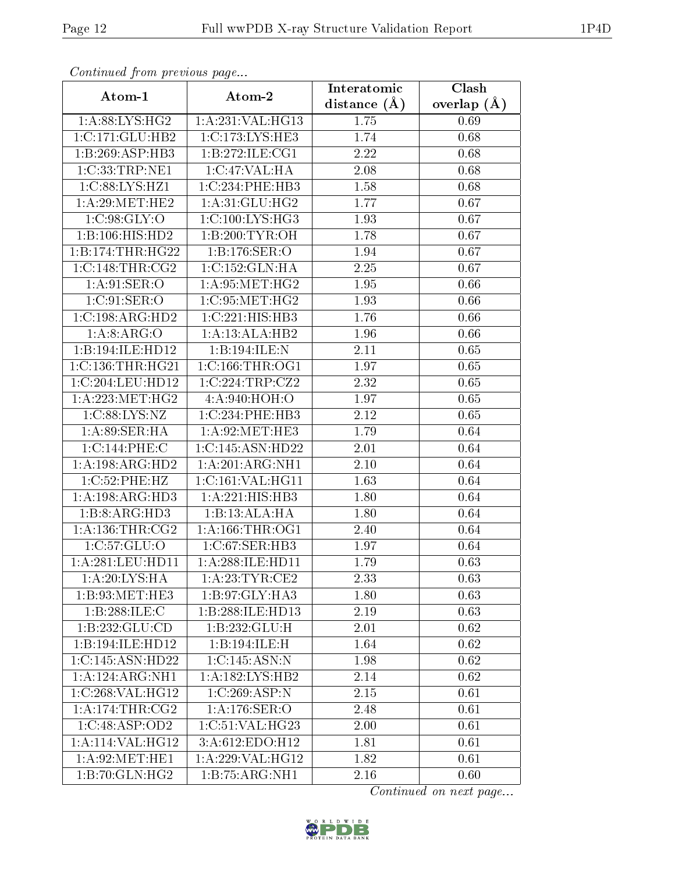| Comunaca jiom previous page  |                                                | Interatomic    | Clash         |
|------------------------------|------------------------------------------------|----------------|---------------|
| Atom-1                       | Atom-2                                         | distance $(A)$ | overlap $(A)$ |
| 1: A:88: LYS: HG2            | 1:A:231:VAL:HG13                               | 1.75           | 0.69          |
| 1:C:171:GLU:HB2              | 1:C:173:LYS:HE3                                | 1.74           | 0.68          |
| 1:B:269:ASP:HB3              | 1:B:272:ILE:CG1                                | 2.22           | 0.68          |
| 1:C:33:TRP:NE1               | 1:C:47:VAL:HA                                  | 2.08           | 0.68          |
| 1:C:88:LYS:HZ1               | 1:C:234:PHE:HB3                                | 1.58           | 0.68          |
| 1: A:29: MET:HE2             | 1: A:31: GLU: HG2                              | 1.77           | 0.67          |
| 1:C:98:GLY:O                 | 1:C:100:LYS:HG3                                | 1.93           | 0.67          |
| 1:B:106:HIS:HD2              | 1:B:200:TYR:OH                                 | 1.78           | 0.67          |
| 1:B:174:THR:HG22             | 1:B:176:SER:O                                  | 1.94           | 0.67          |
| 1:C:148:THR:CG2              | 1:C:152:GLN:HA                                 | 2.25           | 0.67          |
| 1:A:91:SER:O                 | 1: A:95:MET:HG2                                | 1.95           | 0.66          |
| 1:C:91:SER:O                 | 1:C:95:MET:HG2                                 | 1.93           | 0.66          |
| 1:C:198:ARG:HD2              | 1:C:221:HIS:HB3                                | 1.76           | 0.66          |
| 1:A.8:ARG:O                  | 1:A:13:ALA:HB2                                 | 1.96           | 0.66          |
| 1:B:194:ILE:HD12             | 1:B:194:ILE:N                                  | 2.11           | 0.65          |
| $1:C:136$ : THR: HG21        | 1:C:166:THR:OG1                                | 1.97           | 0.65          |
| 1:C:204:LEU:HD12             | 1:C:224:TRP:CZ2                                | 2.32           | 0.65          |
| 1: A: 223: MET: HG2          | 4:A:940:HOH:O                                  | 1.97           | 0.65          |
| 1:C:88:LYS:NZ                | 1:C:234:PHE:HB3                                | 2.12           | 0.65          |
| 1: A:89: SER: HA             | 1: A:92:MET:HE3                                | 1.79           | 0.64          |
| 1:C:144:PHE:C                | 1:C:145:ASN:HD22                               | 2.01           | 0.64          |
| $1:A:198:A\overline{RG:HD2}$ | 1:A:201:ARG:NH1                                | 2.10           | 0.64          |
| 1:C:52:PHE:HZ                | 1:C:161:VAL:HG11                               | 1.63           | 0.64          |
| 1: A: 198: ARG: HD3          | 1:A:221:HIS:HB3                                | 1.80           | 0.64          |
| 1:B:8:ARG:HD3                | 1:B:13:ALA:HA                                  | 1.80           | 0.64          |
| 1:A:136:THR:CG2              | 1: A: 166: THR: OG1                            | 2.40           | 0.64          |
| 1: C: 57: GLU: O             | 1:C:67:SER:HB3                                 | 1.97           | 0.64          |
| 1: A:281:LEU:HD11            | 1:A:288:ILE:HD11                               | 1.79           | 0.63          |
| 1: A:20: LYS: HA             | 1: A:23:TYR:CE2                                | 2.33           | 0.63          |
| 1:B:93:MET:HE3               | 1:B:97:GLY:HA3                                 | 1.80           | 0.63          |
| 1:B:288:ILE:C                | 1:B:288:ILE:HD13                               | 2.19           | 0.63          |
| 1:B:232:GLU:CD               | 1:B:232:GLU:H                                  | 2.01           | 0.62          |
| 1:B:194:ILE:HD12             | 1:B:194:ILE:H                                  | 1.64           | 0.62          |
| 1:C:145:ASN:HD22             | 1:C:145:ASN:N                                  | 1.98           | 0.62          |
| 1:A:124:ARG:NH1              | 1:A:182:LYS:HB2                                | 2.14           | 0.62          |
| 1:C:268:VAL:HG12             | 1:C:269:ASP:N                                  | 2.15           | 0.61          |
| 1: A:174:THR:CG2             | 1:A:176:SER:O                                  | 2.48           | 0.61          |
| 1:C:48:ASP:OD2               | $1:C:51:V\overline{\mathrm{AL}:\mathrm{HG}23}$ | 2.00           | 0.61          |
| 1: A:114: VAL:HGI2           | 3:A:612:EDO:H12                                | 1.81           | 0.61          |
| 1: A:92:MET:HE1              | 1: A:229: VAL:HG12                             | 1.82           | 0.61          |
| 1:B:70:GLN:HG2               | 1:B:75:ARG:NH1                                 | 2.16           | 0.60          |

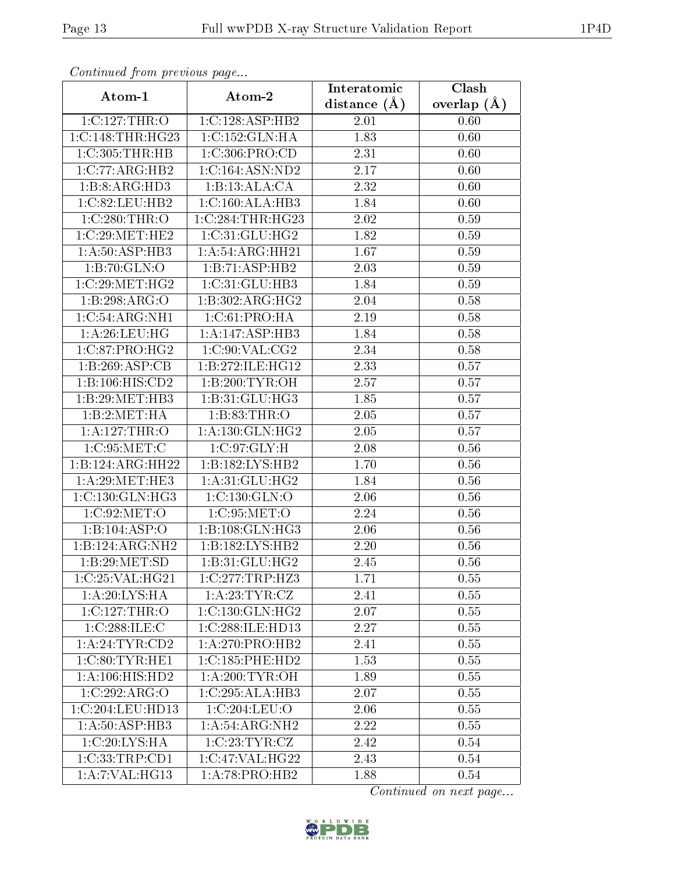| Continuea from previous page |                     | Interatomic    | Clash         |  |
|------------------------------|---------------------|----------------|---------------|--|
| Atom-1                       | Atom-2              | distance $(A)$ | overlap $(A)$ |  |
| 1:C:127:THR:O                | 1:C:128:ASP:HB2     | 2.01           | 0.60          |  |
| 1:C:148:THR:HG23             | 1:C:152:GLN:HA      | 1.83           | 0.60          |  |
| 1:C:305:THR:HB               | 1:C:306:PRO:CD      | 2.31           | 0.60          |  |
| 1:C:77:ARG:HB2               | 1:C:164:ASN:ND2     | 2.17           | 0.60          |  |
| 1:B:8:ARG:HD3                | 1:B:13:ALA:CA       | 2.32           | 0.60          |  |
| 1:C:82:LEU:HB2               | 1:C:160:ALA:HB3     | 1.84           | 0.60          |  |
| 1:C:280:THR:O                | 1:C:284:THR:HG23    | 2.02           | 0.59          |  |
| 1:C:29:MET:HE2               | 1:C:31:GLU:HG2      | 1.82           | 0.59          |  |
| 1: A:50: ASP:HB3             | 1:A:54:ARG:HH21     | 1.67           | 0.59          |  |
| 1:B:70:GLN:O                 | 1:B:71:ASP:HB2      | 2.03           | 0.59          |  |
| 1:C:29:MET:HG2               | 1: C: 31: GLU: HB3  | 1.84           | 0.59          |  |
| 1:B:298:ARG:O                | 1:B:302:ARG:HG2     | 2.04           | 0.58          |  |
| 1:C:54:ARG:NH1               | 1:C:61:PRO:HA       | 2.19           | 0.58          |  |
| 1:A:26:LEU:HG                | 1:A:147:ASP:HB3     | 1.84           | 0.58          |  |
| 1:C:87:PRO:HG2               | 1:C:90:VAL:CG2      | 2.34           | 0.58          |  |
| 1:B:269:ASP:CB               | 1:B:272:ILE:HG12    | 2.33           | 0.57          |  |
| 1:B:106:HIS:CD2              | 1:B:200:TYR:OH      | 2.57           | 0.57          |  |
| 1:B:29:MET:HB3               | 1: B:31: GLU: HG3   | 1.85           | 0.57          |  |
| 1:B:2:MET:HA                 | 1:B:83:THR:O        | 2.05           | 0.57          |  |
| 1:A:127:THR:O                | 1: A: 130: GLN: HG2 | 2.05           | 0.57          |  |
| 1:C:95:MET:C                 | 1:C:97:GLY:H        | 2.08           | 0.56          |  |
| 1:B:124:ARG:HH22             | 1:B:182:LYS:HB2     | 1.70           | 0.56          |  |
| 1: A:29: MET:HE3             | 1: A:31: GLU: HG2   | 1.84           | 0.56          |  |
| 1:C:130:GLN:HG3              | 1:C:130:GLN:O       | 2.06           | 0.56          |  |
| 1:C:92:MET:O                 | 1:C:95:MET:O        | 2.24           | 0.56          |  |
| 1:B:104:ASP:O                | 1:B:108:GLN:HG3     | 2.06           | 0.56          |  |
| $1:B:124:ARG:N\overline{H2}$ | 1: B: 182: LYS: HB2 | 2.20           | 0.56          |  |
| 1:B:29:MET:SD                | 1:B:31:GLU:HG2      | 2.45           | 0.56          |  |
| 1:C:25:VAL:HG21              | 1:C:277:TRP:HZ3     | 1.71           | 0.55          |  |
| 1: A:20: LYS: HA             | 1: A:23:TYR:CZ      | 2.41           | 0.55          |  |
| 1:C:127:THR:O                | 1: C: 130: GLN: HG2 | 2.07           | 0.55          |  |
| 1:C:288:ILE:C                | 1:C:288:ILE:HD13    | 2.27           | 0.55          |  |
| 1:A:24:TYR:CD2               | 1:A:270:PRO:HB2     | 2.41           | 0.55          |  |
| 1:C:80:TYR:HE1               | 1: C: 185: PHE: HD2 | 1.53           | 0.55          |  |
| 1: A: 106: HIS: HD2          | 1: A:200:TYR:OH     | 1.89           | 0.55          |  |
| 1:C:292:ARG:O                | 1:C:295:ALA:HB3     | 2.07           | 0.55          |  |
| 1:C:204:LEU:HD13             | 1:C:204:LEU:O       | 2.06           | 0.55          |  |
| 1: A:50: ASP:HB3             | 1:A:54:ARG:NH2      | 2.22           | 0.55          |  |
| 1:C:20:LYS:HA                | 1:C:23:TYR:CZ       | 2.42           | 0.54          |  |
| 1:C:33:TRP:CD1               | 1:C:47:VAL:HG22     | 2.43           | 0.54          |  |
| 1:A:7:VAL:HG13               | 1:A:78:PRO:HB2      | 1.88           | 0.54          |  |

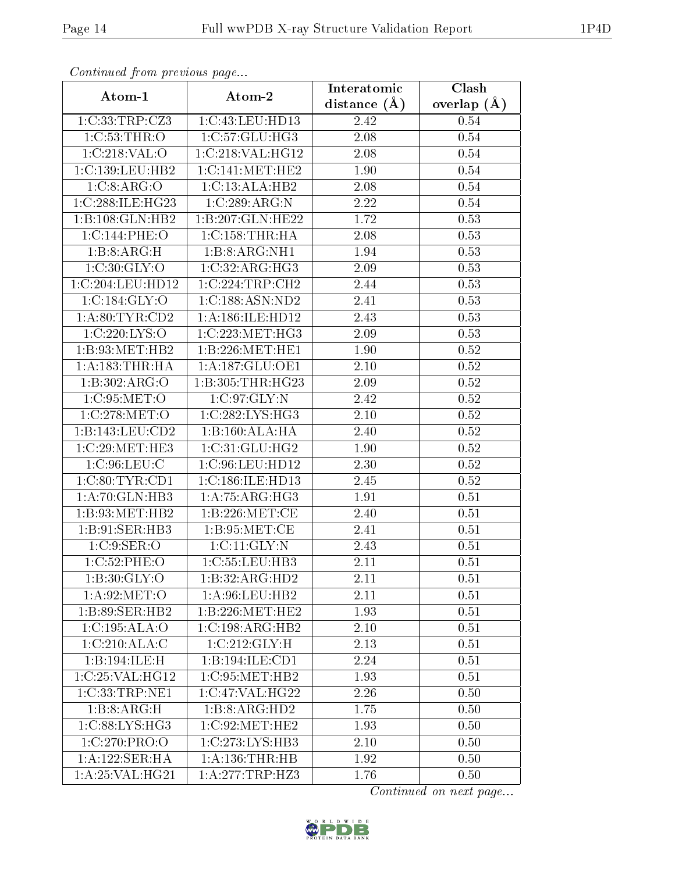| Continua from pretious page       |                     | Interatomic       | Clash           |  |
|-----------------------------------|---------------------|-------------------|-----------------|--|
| Atom-1                            | Atom-2              | distance $(A)$    | overlap $(\AA)$ |  |
| 1:C:33:TRP:CZ3                    | 1:C:43:LEU:HD13     | 2.42              | 0.54            |  |
| 1:C:53:THR:O                      | 1:C:57:GLU:HG3      | $\overline{2.08}$ | 0.54            |  |
| 1:C:218:VAL:O                     | 1:C:218:VAL:HG12    | 2.08              | 0.54            |  |
| 1:C:139:LEU:HB2                   | 1:C:141:MET:HE2     | 1.90              | 0.54            |  |
| 1:C:8:ARG:O                       | 1:C:13:ALA:HB2      | 2.08              | 0.54            |  |
| 1:C:288:ILE:HG23                  | 1:C:289:ARG:N       | 2.22              | 0.54            |  |
| 1:B:108:GLN:HB2                   | 1:B:207:GLN:HE22    | 1.72              | 0.53            |  |
| 1:C:144:PHE:O                     | 1:C:158:THR:HA      | 2.08              | 0.53            |  |
| 1:B:8:ARG:H                       | 1:B:8:ARG:NH1       | 1.94              | 0.53            |  |
| 1:C:30:GLY:O                      | 1:C:32:ARG:HG3      | 2.09              | 0.53            |  |
| 1:C:204:LEU:HD12                  | 1:C:224:TRP:CH2     | 2.44              | 0.53            |  |
| 1:C:184:GLY:O                     | 1:C:188:ASN:ND2     | 2.41              | 0.53            |  |
| 1: A:80: TYR:CD2                  | 1:A:186:ILE:HD12    | 2.43              | 0.53            |  |
| 1:C:220:LYS:O                     | 1:C:223:MET:HG3     | 2.09              | 0.53            |  |
| 1:B:93:MET:HB2                    | 1:B:226:MET:HE1     | 1.90              | 0.52            |  |
| 1: A: 183: THR: HA                | 1: A: 187: GLU: OE1 | 2.10              | 0.52            |  |
| 1:B:302:ARG:O                     | 1:B:305:THR:HG23    | 2.09              | 0.52            |  |
| 1:C:95:MET:O                      | 1:C:97:GLY:N        | 2.42              | 0.52            |  |
| 1:C:278:MET:O                     | 1:C:282:LYS:HG3     | 2.10              | 0.52            |  |
| 1:B:143:LEU:CD2                   | 1:B:160:ALA:HA      | 2.40              | 0.52            |  |
| 1:C:29:MET:HE3                    | 1:C:31:GLU:HG2      | 1.90              | 0.52            |  |
| 1:C:96:LEU:C                      | 1:C:96:LEU:HD12     | 2.30              | 0.52            |  |
| 1:C:80:TYR:CD1                    | 1:C:186:ILE:HD13    | 2.45              | 0.52            |  |
| 1:A:70:GLN:HB3                    | 1:A:75:ARG:HG3      | 1.91              | 0.51            |  |
| 1:B:93:MET:HB2                    | 1:B:226:MET:CE      | 2.40              | 0.51            |  |
| 1:B:91:SER:HB3                    | 1: B:95: MET:CE     | 2.41              | 0.51            |  |
| 1: C:9: SER:O                     | 1: C:11: GLY:N      | 2.43              | 0.51            |  |
| 1:C:52:PHE:O                      | 1:C:55:LEU:HB3      | 2.11              | 0.51            |  |
| 1: B:30: GLY:O                    | 1:B:32:ARG:HD2      | 2.11              | 0.51            |  |
| 1: A:92: MET:O                    | 1:A:96:LEU:HB2      | 2.11              | 0.51            |  |
| 1:B:89:SER:HB2                    | 1:B:226:MET:HE2     | 1.93              | 0.51            |  |
| 1:C:195:ALA:O                     | 1:C:198:ARG:HB2     | 2.10              | 0.51            |  |
| 1:C:210:ALA:C                     | 1:C:212:GLY:H       | 2.13              | 0.51            |  |
| $1:B:194:\overline{\text{ILE:H}}$ | 1:B:194:ILE:CD1     | 2.24              | 0.51            |  |
| 1:C:25:VAL:HG12                   | 1:C:95:MET:HB2      | 1.93              | 0.51            |  |
| 1:C:33:TRP:NE1                    | 1:C:47:VAL:HG22     | 2.26              | 0.50            |  |
| 1:B:8:ARG:H                       | 1:B:8:ARG:HD2       | 1.75              | 0.50            |  |
| 1: C:88: LYS: HG3                 | 1:C:92:MET:HE2      | 1.93              | 0.50            |  |
| 1:C:270:PRO:O                     | 1:C:273:LYS:HB3     | 2.10              | 0.50            |  |
| 1:A:122:SER:HA                    | 1: A: 136: THR: HB  | 1.92              | 0.50            |  |
| 1: A:25: VAL:HG21                 | 1:A:277:TRP:HZ3     | 1.76              | 0.50            |  |

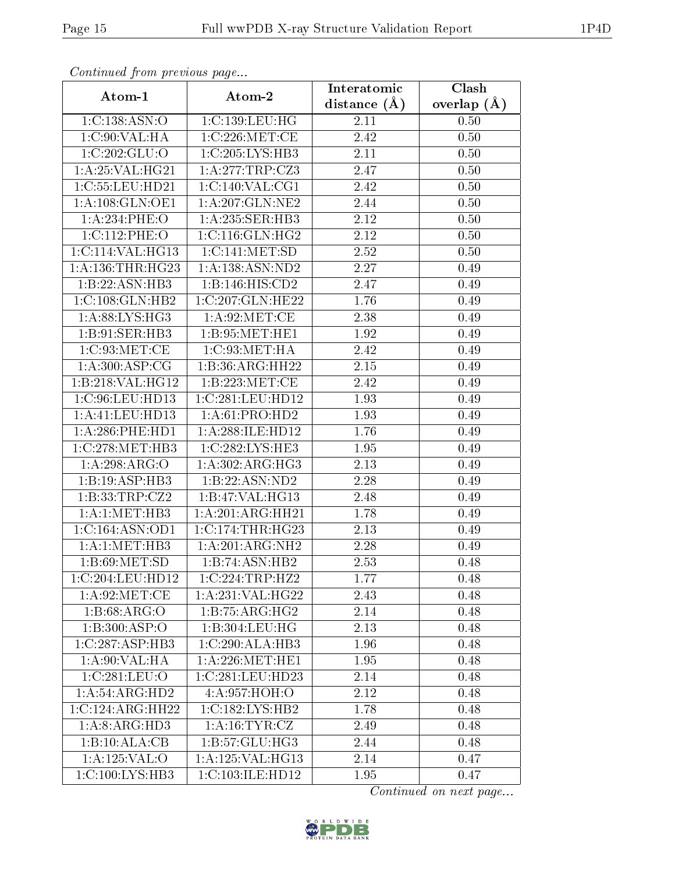| Continuati pont previous page       |                     | Interatomic       | Clash         |  |
|-------------------------------------|---------------------|-------------------|---------------|--|
|                                     | Atom-1<br>Atom-2    |                   | overlap $(A)$ |  |
| 1:C:138:ASN:O                       | 1:C:139:LEU:HG      | 2.11              | 0.50          |  |
| 1: C:90: VAL:HA                     | 1:C:226:MET:CE      | 2.42              | 0.50          |  |
| 1:C:202:GLU:O                       | 1:C:205:LYS:HB3     | $2.11\,$          | 0.50          |  |
| 1:A:25:VAL:HG21                     | 1:A:277:TRP:CZ3     | 2.47              | 0.50          |  |
| 1:C:55:LEU:HD21                     | 1:C:140:VAL:CG1     | 2.42              | 0.50          |  |
| 1: A:108: GLN:OE1                   | 1:A:207:GLN:NE2     | 2.44              | 0.50          |  |
| 1:A:234:PHE:O                       | 1: A:235: SER:HB3   | 2.12              | 0.50          |  |
| 1:C:112:PHE:O                       | 1: C: 116: GLN: HG2 | 2.12              | 0.50          |  |
| 1:C:114:VAL:HG13                    | 1:C:141:MET:SD      | $\overline{2}.52$ | 0.50          |  |
| 1:A:136:THR:HG23                    | 1:A:138:ASN:ND2     | 2.27              | 0.49          |  |
| 1:B:22:ASN:HB3                      | 1:B:146:HIS:CD2     | 2.47              | 0.49          |  |
| 1:C:108:GLN:HB2                     | 1:C:207:GLN:HE22    | 1.76              | 0.49          |  |
| 1: A:88: LYS: HG3                   | 1: A:92:MET:CE      | 2.38              | 0.49          |  |
| 1:B:91:SER:HB3                      | 1: B:95:MET:HE1     | 1.92              | 0.49          |  |
| 1:C:93:MET:CE                       | 1:C:93:MET:HA       | 2.42              | 0.49          |  |
| 1: A:300:ASP:CG                     | 1:B:36:ARG:HH22     | 2.15              | 0.49          |  |
| 1:B:218:VAL:HG12                    | 1:B:223:MET:CE      | 2.42              | 0.49          |  |
| 1:C:96:LEU:HD13                     | 1:C:281:LEU:HD12    | 1.93              | 0.49          |  |
| 1:A:41:LEU:HD13                     | 1:A:61:PRO:HD2      | 1.93              | 0.49          |  |
| 1: A:286:PHE:HD1                    | 1: A:288: ILE: HD12 | 1.76              | 0.49          |  |
| 1:C:278:MET:HB3                     | 1:C:282:LYS:HE3     | 1.95              | 0.49          |  |
| 1:A:298:ARG:O                       | 1: A:302: ARG:HG3   | 2.13              | 0.49          |  |
| 1:B:19:ASP:HB3                      | 1:B:22:ASN:ND2      | 2.28              | 0.49          |  |
| 1:B:33:TRP:CZ2                      | 1:B:47:VAL:HG13     | 2.48              | 0.49          |  |
| 1:A:1:MET:HB3                       | 1:A:201:ARG:HH21    | 1.78              | 0.49          |  |
| 1:C:164:ASN:OD1                     | 1:C:174:THR:HG23    | 2.13              | 0.49          |  |
| 1:A:1:MET:HB3                       | 1:A:201:ARG:NH2     | 2.28              | 0.49          |  |
| 1:B:69:MET:SD                       | 1:B:74:ASN:HB2      | 2.53              | 0.48          |  |
| 1:C:204:LEU:HD12                    | 1:C:224:TRP:HZ2     | 1.77              | 0.48          |  |
| 1: A:92:MET:CE                      | 1:A:231:VAL:HG22    | 2.43              | 0.48          |  |
| 1: B:68: ARG:O                      | 1:B:75:ARG:HG2      | 2.14              | 0.48          |  |
| $1:B:300: \overline{ASP:O}$         | 1:B:304:LEU:HG      | 2.13              | 0.48          |  |
| 1:C:287:ASP:HB3                     | 1:C:290:ALA:HB3     | 1.96              | 0.48          |  |
| 1:A:90:VAL:HA                       | 1: A:226: MET:HE1   | 1.95              | 0.48          |  |
| 1:C:281:LEU:O                       | 1:C:281:LEU:HD23    | 2.14              | 0.48          |  |
| 1: A:54: ARG:HD2                    | 4:A:957:HOH:O       | 2.12              | 0.48          |  |
| 1:C:124:ARG:HH22                    | 1:C:182:LYS:HB2     | 1.78              | 0.48          |  |
| 1: A:8: ARG: HD3                    | 1: A: 16: TYR: CZ   | 2.49              | 0.48          |  |
| 1:B:10:ALA:CB                       | 1:B:57:GLU:HG3      | 2.44              | 0.48          |  |
| 1:A:125:VAL:O                       | 1:A:125:VAL:HG13    | 2.14              | 0.47          |  |
| $1:C:100:\overline{\text{LYS:HB3}}$ | 1:C:103:ILE:HD12    | 1.95              | 0.47          |  |

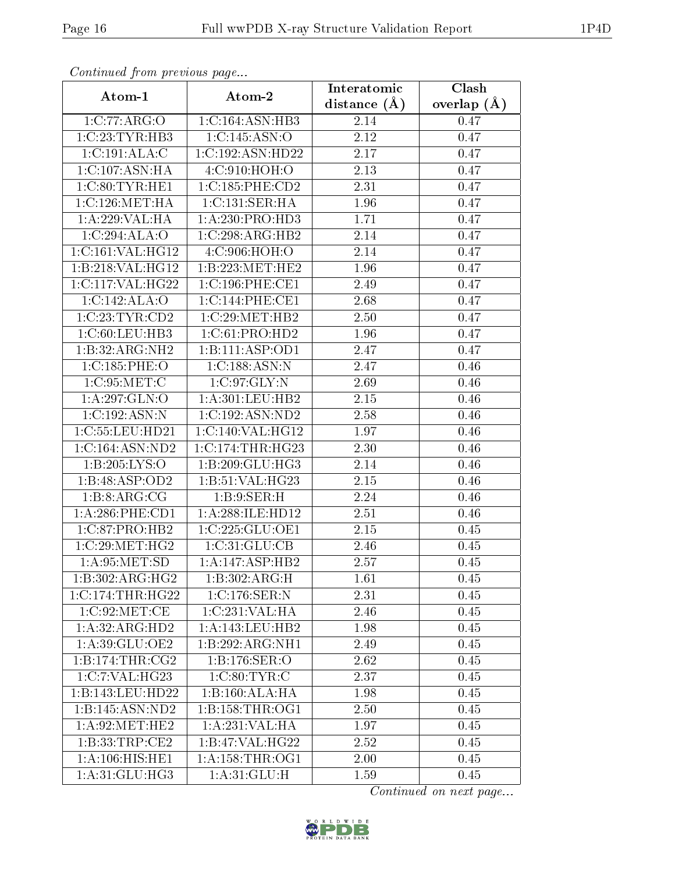| Continuati pom previous page |                                      | Interatomic       | Clash           |  |
|------------------------------|--------------------------------------|-------------------|-----------------|--|
| Atom-1                       | Atom-2                               | distance $(\AA)$  | overlap $(\AA)$ |  |
| 1:C:77:ARG:O                 | 1:C:164:ASN:HB3                      | 2.14              | 0.47            |  |
| 1:C:23:TYR:HB3               | 1:C:145:ASN:O                        | 2.12              | 0.47            |  |
| 1:C:191:ALA:C                | 1:C:192:ASN:HD22                     | $2.17\,$          | 0.47            |  |
| 1:C:107:ASN:HA               | 4:C:910:HOH:O                        | 2.13              | 0.47            |  |
| 1:C:80:TYR:HE1               | 1:C:185:PHE:CD2                      | 2.31              | 0.47            |  |
| 1:C:126:MET:HA               | 1: C: 131: SER: HA                   | 1.96              | 0.47            |  |
| 1:A:229:VAL:HA               | 1:A:230:PRO:HD3                      | 1.71              | 0.47            |  |
| 1:C:294:ALA:O                | 1:C:298:ARG:HB2                      | 2.14              | 0.47            |  |
| 1:C:161:VAL:HG12             | 4:C:906:HOH:O                        | 2.14              | 0.47            |  |
| 1:B:218:VAL:HG12             | 1:B:223:MET:HE2                      | 1.96              | 0.47            |  |
| 1:C:117:VAL:HG22             | 1:C:196:PHE:CE1                      | 2.49              | 0.47            |  |
| 1:C:142:ALA:O                | 1:C:144:PHE:CE1                      | 2.68              | 0.47            |  |
| 1:C:23:TYR:CD2               | 1:C:29:MET:HB2                       | 2.50              | 0.47            |  |
| 1:C:60:LEU:HB3               | 1:C:61:PRO:HD2                       | 1.96              | 0.47            |  |
| 1:B:32:ARG:NH2               | 1:B:111:ASP:OD1                      | $\overline{2.47}$ | 0.47            |  |
| 1:C:185:PHE:O                | 1:C:188:ASN:N                        | 2.47              | 0.46            |  |
| 1:C:95:MET:C                 | 1:C:97:GLY:N                         | 2.69              | 0.46            |  |
| 1:A:297:GLN:O                | 1: A:301:LEU:HB2                     | 2.15              | 0.46            |  |
| 1:C:192:ASN:N                | 1:C:192:ASN:ND2                      | 2.58              | 0.46            |  |
| 1:C:55:LEU:HD21              | 1:C:140:VAL:HG12                     | 1.97              | 0.46            |  |
| 1:C:164:ASN:ND2              | 1:C:174:THR:HG23                     | 2.30              | 0.46            |  |
| 1:B:205:LYS:O                | 1:B:209:GLU:HG3                      | 2.14              | 0.46            |  |
| 1:B:48:ASP:OD2               | 1:B:51:VAL:HG23                      | 2.15              | 0.46            |  |
| 1:B:8:ARG:CG                 | 1:B:9:SER:H                          | 2.24              | 0.46            |  |
| 1: A:286:PHE:CD1             | 1:A:288:ILE:HD12                     | 2.51              | 0.46            |  |
| 1:C:87:PRO:HB2               | 1:C:225:GLU:OE1                      | 2.15              | 0.45            |  |
| 1:C:29:MET:HG2               | 1: C:31: GLU: CB                     | 2.46              | 0.45            |  |
| 1: A:95: MET:SD              | 1:A:147:ASP:HB2                      | 2.57              | 0.45            |  |
| $1:B:302:ARG:\overline{HG2}$ | 1:B:302:ARG:H                        | 1.61              | 0.45            |  |
| $1:C:174$ : THR: HG22        | 1:C:176:SER:N                        | 2.31              | 0.45            |  |
| 1:C:92:MET:CE                | 1:C:231:VAL:HA                       | 2.46              | 0.45            |  |
| 1:A:32:ARG:HD2               | 1: A:143:LEU:HB2                     | 1.98              | 0.45            |  |
| 1:A:39:GLU:OE2               | 1:B:292:ARG:NH1                      | 2.49              | 0.45            |  |
| 1:B:174:THR:CG2              | $1: B: 176: \overline{\text{SER}:O}$ | 2.62              | 0.45            |  |
| 1:C:7:VAL:HG23               | 1:C:80:TYR:C                         | 2.37              | 0.45            |  |
| 1:B:143:LEU:HD22             | 1:B:160:ALA:HA                       | 1.98              | 0.45            |  |
| 1:B:145:ASN:ND2              | 1:B:158:THR:OG1                      | 2.50              | 0.45            |  |
| 1: A:92:MET:HE2              | 1: A:231:VAL:HA                      | 1.97              | 0.45            |  |
| 1: B: 33: TRP: CE2           | 1:B:47:VAL:HG22                      | 2.52              | 0.45            |  |
| 1:A:106:HIS:HE1              | 1: A: 158: THR: OG1                  | 2.00              | 0.45            |  |
| 1:A:31:GLU:HG3               | 1: A:31: GLU:H                       | 1.59              | 0.45            |  |

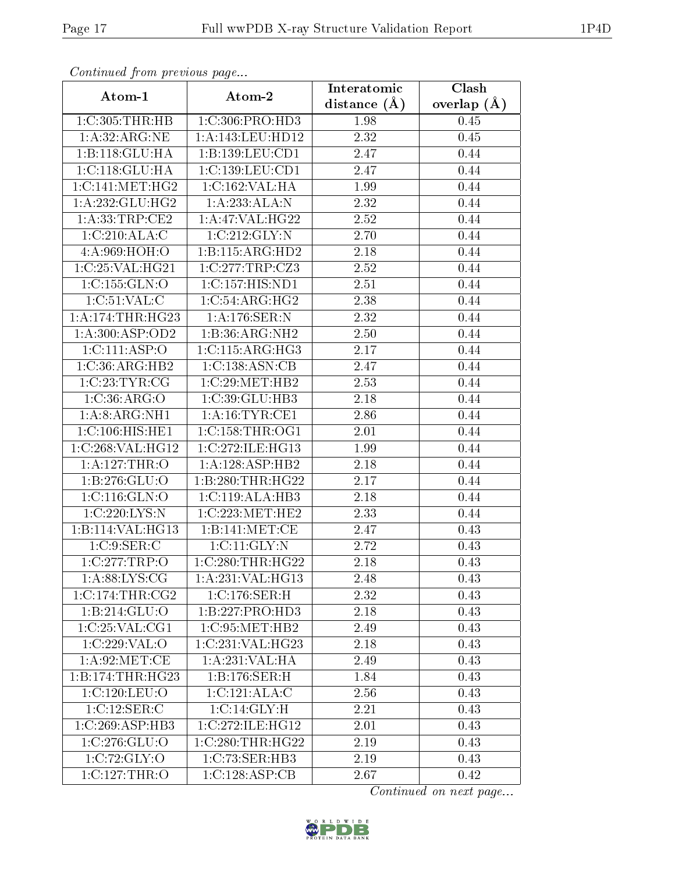| Communica from precious page |                                      | Interatomic       | Clash           |  |
|------------------------------|--------------------------------------|-------------------|-----------------|--|
| Atom-1                       | Atom-2                               | distance $(A)$    | overlap $(\AA)$ |  |
| 1:C:305:THR:HB               | 1:C:306:PRO:HD3                      | 1.98              | 0.45            |  |
| 1: A:32: ARG:NE              | 1:A:143:LEU:HD12                     | 2.32              | 0.45            |  |
| 1:B:118:GLU:HA               | 1:B:139:LEU:CD1                      | 2.47              | 0.44            |  |
| 1: C: 118: GLU: HA           | 1:C:139:LEU:CD1                      | 2.47              | 0.44            |  |
| 1:C:141:MET:HG2              | 1:C:162:VAL:HA                       | 1.99              | 0.44            |  |
| 1: A: 232: GLU: HG2          | 1:A:233:ALA:N                        | 2.32              | 0.44            |  |
| 1: A:33:TRP:CE2              | $1:$ A:47:VAL:HG22                   | $\overline{2.52}$ | 0.44            |  |
| 1:C:210:ALA:C                | 1:C:212:GLY:N                        | 2.70              | 0.44            |  |
| 4:A:969:HOH:O                | 1:B:115:ARG:HD2                      | 2.18              | 0.44            |  |
| 1:C:25:VAL:HG21              | 1:C:277:TRP:CZ3                      | 2.52              | 0.44            |  |
| 1:C:155:GLN:O                | 1:C:157:HIS:ND1                      | 2.51              | 0.44            |  |
| 1:C:51:VAL:CC                | 1:C:54:ARG:HG2                       | 2.38              | 0.44            |  |
| 1:A:174:THR:HG23             | 1:A:176:SER:N                        | 2.32              | 0.44            |  |
| 1: A:300: ASP:OD2            | 1:B:36:ARG:NH2                       | 2.50              | 0.44            |  |
| 1:C:111:ASP:O                | 1:C:115:ARG:HG3                      | 2.17              | 0.44            |  |
| 1:C:36:ARG:HB2               | 1:C:138:ASN:CB                       | 2.47              | 0.44            |  |
| 1:C:23:TYR:CG                | 1:C:29:MET:HB2                       | 2.53              | 0.44            |  |
| 1:C:36:ARG:O                 | 1:C:39:GLU:HB3                       | 2.18              | 0.44            |  |
| $1:A:8:A\overline{RG:NH1}$   | 1:A:16:TYR:CE1                       | 2.86              | 0.44            |  |
| 1:C:106:HIS:HE1              | 1:C:158:THR:OG1                      | 2.01              | 0.44            |  |
| 1:C:268:VAL:HG12             | 1:C:272:ILE:HG13                     | 1.99              | 0.44            |  |
| 1: A: 127: THR: O            | 1:A:128:ASP:HB2                      | 2.18              | 0.44            |  |
| 1: B: 276: GLU:O             | 1:B:280:THR:HG22                     | 2.17              | 0.44            |  |
| 1: C: 116: GLN: O            | 1:C:119:ALA:HB3                      | 2.18              | 0.44            |  |
| 1:C:220:LYS:N                | 1:C:223:MET:HE2                      | 2.33              | 0.44            |  |
| 1:B:114:VAL:HG13             | 1:B:141:MET:CE                       | 2.47              | 0.43            |  |
| 1:C:9:SER:C                  | 1: C: 11: GLY:N                      | 2.72              | 0.43            |  |
| 1:C:277:TRP:O                | 1:C:280:THR:HG22                     | 2.18              | 0.43            |  |
| 1: A:88: LYS: CG             | 1:A:231:VAL:HG13                     | 2.48              | 0.43            |  |
| $1:C:174$ : THR: $CG2$       | 1:C:176:SER:H                        | 2.32              | 0.43            |  |
| 1: B: 214: GLU:O             | 1:B:227:PRO:HD3                      | 2.18              | 0.43            |  |
| 1:C:25:VAL:CG1               | 1:C:95:MET:HB2                       | 2.49              | 0.43            |  |
| 1:C:229:VAL:O                | 1:C:231:VAL:HG23                     | 2.18              | 0.43            |  |
| 1: A:92:MET:CE               | 1: A:231: VAL:HA                     | 2.49              | 0.43            |  |
| 1:B:174:THR:HG23             | 1:B:176:SER:H                        | 1.84              | 0.43            |  |
| 1:C:120:LEU:O                | 1:C:121:ALA:C                        | 2.56              | 0.43            |  |
| 1:C:12:SER:C                 | 1: C:14: GLY:H                       | 2.21              | 0.43            |  |
| 1:C:269:ASP:HB3              | $1:C:272:I\overline{\text{LE:HG12}}$ | 2.01              | 0.43            |  |
| 1:C:276:GLU:O                | 1:C:280:THR:HG22                     | 2.19              | 0.43            |  |
| 1:C:72:GLY:O                 | 1:C:73:SER:HB3                       | 2.19              | 0.43            |  |
| 1:C:127:THR:O                | 1:C:128:ASP:CB                       | 2.67              | 0.42            |  |

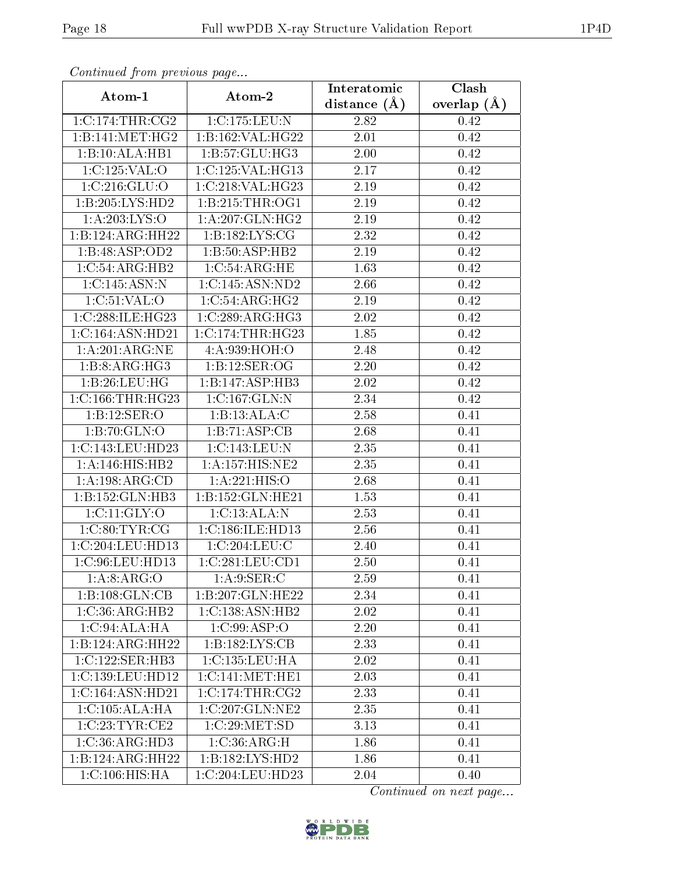| Continuea from previous page  |                     | Interatomic      | Clash         |
|-------------------------------|---------------------|------------------|---------------|
| Atom-1                        | Atom-2              | distance $(\AA)$ | overlap $(A)$ |
| 1:C:174:THR:CG2               | 1:C:175:LEU:N       | 2.82             | 0.42          |
| 1:B:141:MET:HG2               | 1:B:162:VAL:HG22    | 2.01             | 0.42          |
| 1:B:10:ALA:HB1                | 1: B: 57: GLU: HG3  | 2.00             | 0.42          |
| 1:C:125:VAL:O                 | 1:C:125:VAL:HG13    | 2.17             | 0.42          |
| 1:C:216:GLU:O                 | 1:C:218:VAL:HG23    | 2.19             | 0.42          |
| 1:B:205:LYS:HD2               | 1:B:215:THR:OG1     | 2.19             | 0.42          |
| 1:A:203:LYS:O                 | 1:A:207:GLN:HG2     | 2.19             | 0.42          |
| 1:B:124:ARG:HH22              | 1:B:182:LYS:CG      | 2.32             | 0.42          |
| 1:B:48:ASP:OD2                | 1:B:50:ASP:HB2      | 2.19             | 0.42          |
| 1:C:54:ARG:HB2                | 1:C:54:ARG:HE       | 1.63             | 0.42          |
| 1:C:145:ASN:N                 | 1:C:145:ASN:ND2     | 2.66             | 0.42          |
| 1:C:51:VAL:O                  | 1:C:54:ARG:HG2      | 2.19             | 0.42          |
| $1:C:288:ILE:\overline{HG23}$ | 1:C:289:ARG:HG3     | 2.02             | 0.42          |
| 1:C:164:ASN:HD21              | 1:C:174:THR:HG23    | 1.85             | 0.42          |
| 1: A:201: ARG:NE              | 4:A:939:HOH:O       | 2.48             | 0.42          |
| 1:B:8:ARG:HG3                 | 1:B:12:SER:OG       | 2.20             | 0.42          |
| 1:B:26:LEU:HG                 | 1:B:147:ASP:HB3     | 2.02             | 0.42          |
| 1:C:166:THR:HG23              | 1:C:167:GLN:N       | 2.34             | 0.42          |
| 1:B:12:SER:O                  | 1:B:13:ALA:C        | 2.58             | 0.41          |
| 1:B:70:GLN:O                  | 1:B:71:ASP:CB       | 2.68             | 0.41          |
| 1:C:143:LEU:HD23              | 1:C:143:LEU:N       | 2.35             | 0.41          |
| 1: A:146:HIS:HB2              | 1: A: 157: HIS: NE2 | 2.35             | 0.41          |
| 1:A:198:ARG:CD                | 1:A:221:HIS:O       | 2.68             | 0.41          |
| 1:B:152:GLN:HB3               | 1:B:152:GLN:HE21    | 1.53             | 0.41          |
| 1: C: 11: GLY: O              | 1:C:13:ALA:N        | 2.53             | 0.41          |
| 1:C:80:TYR:CG                 | 1:C:186:ILE:HD13    | 2.56             | 0.41          |
| 1:C:204:LEU:HD13              | 1:C:204:LEU:C       | 2.40             | 0.41          |
| 1:C:96:LEU:HD13               | 1:C:281:LEU:CD1     | 2.50             | 0.41          |
| 1: A:8: ARG:O                 | 1: A:9: SER: C      | 2.59             | 0.41          |
| 1:B:108:GLN:CB                | 1:B:207:GLN:HE22    | 2.34             | 0.41          |
| 1:C:36:ARG:HB2                | 1:C:138:ASN:HB2     | 2.02             | 0.41          |
| 1:C:94:ALA:HA                 | 1:C:99:ASP:O        | 2.20             | 0.41          |
| 1:B:124:ARG:HH22              | 1:B:182:LYS:CB      | 2.33             | 0.41          |
| 1:C:122:SER:HB3               | 1:C:135:LEU:HA      | 2.02             | 0.41          |
| 1:C:139:LEU:HD12              | 1:C:141:MET:HE1     | 2.03             | 0.41          |
| 1:C:164:ASN:HD21              | 1:C:174:THR:CG2     | 2.33             | 0.41          |
| 1:C:105:ALA:HA                | 1:C:207:GLN:NE2     | 2.35             | 0.41          |
| 1:C:23:TYR:CE2                | 1:C:29:MET:SD       | 3.13             | 0.41          |
| 1:C:36:ARG:HD3                | 1:C:36:ARG:H        | 1.86             | 0.41          |
| $1:B:124:A\overline{RG:HH22}$ | 1:B:182:LYS:HD2     | 1.86             | 0.41          |
| 1:C:106:HIS:HA                | 1:C:204:LEU:HD23    | 2.04             | 0.40          |

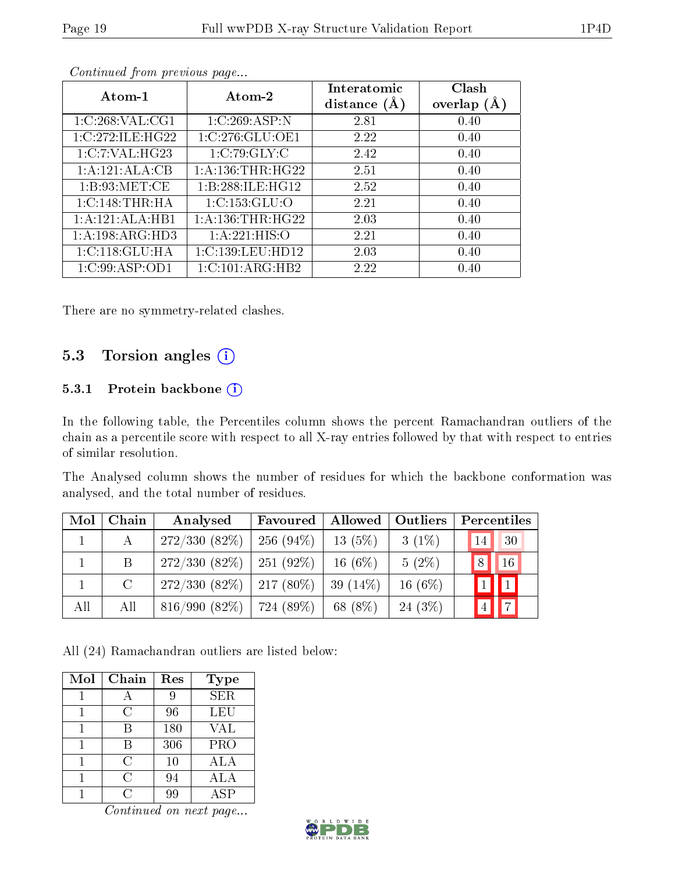| Atom-2<br>Atom-1    |                      | Interatomic<br>distance $(A)$ | Clash<br>overlap $(A)$ |
|---------------------|----------------------|-------------------------------|------------------------|
| 1:C:268:VAL:CG1     | 1:C:269:ASP:N        | 2.81                          | 0.40                   |
| 1:C:272:ILE:HG22    | 1:C:276:GLU:OE1      | 2.22                          | 0.40                   |
| 1:C:7:VAL:HG23      | 1:C:79:GLY:C         | 2.42                          | 0.40                   |
| 1:A:121:ALA:CB      | 1: A: 136: THR: HG22 | 2.51                          | 0.40                   |
| 1: B:93:MET:CE      | 1:B:288:ILE:HG12     | 2.52                          | 0.40                   |
| 1:C:148:THR:HA      | 1:C:153:GLU:O        | 2.21                          | 0.40                   |
| 1:A:121:ALA:HB1     | 1: A: 136: THR: HG22 | 2.03                          | 0.40                   |
| 1: A: 198: ARG: HD3 | 1:A:221:HIS:O        | 2.21                          | 0.40                   |
| 1: C: 118: GLU: HA  | 1:C:139:LEU:HD12     | 2.03                          | 0.40                   |
| 1:C:99:ASP:OD1      | 1:C:101:ARG:HB2      | 2.22                          | 0.40                   |

There are no symmetry-related clashes.

## 5.3 Torsion angles (i)

#### 5.3.1 Protein backbone (i)

In the following table, the Percentiles column shows the percent Ramachandran outliers of the chain as a percentile score with respect to all X-ray entries followed by that with respect to entries of similar resolution.

The Analysed column shows the number of residues for which the backbone conformation was analysed, and the total number of residues.

| Mol | Chain         | Analysed                          | Favoured    | Allowed    | Outliers  | Percentiles    |                 |
|-----|---------------|-----------------------------------|-------------|------------|-----------|----------------|-----------------|
|     | $\mathcal{A}$ | 272/330(82%)                      | $256(94\%)$ | $13(5\%)$  | $3(1\%)$  | 14             | 30              |
|     | B.            | $272/330(82\%)$                   | 251 (92\%)  | 16 $(6%)$  | $5(2\%)$  | 8              | 16              |
|     | $\mathcal{C}$ | $272/330$ (82\%)   217 (80\%)     |             | $39(14\%)$ | 16 $(6%)$ |                |                 |
| All | All           | $816/990$ $(82\%)$   724 $(89\%)$ |             | 68 (8%)    | 24(3%)    | $\overline{4}$ | $\vert 7 \vert$ |

All (24) Ramachandran outliers are listed below:

| Mol | Chain | Res | <b>Type</b> |
|-----|-------|-----|-------------|
|     |       |     | <b>SER</b>  |
|     | C     | 96  | <b>LEU</b>  |
|     | В     | 180 | <b>VAL</b>  |
|     | В     | 306 | PRO         |
|     | C     | 10  | ALA         |
|     | C     | 94  | ALA         |
|     | ( )   |     | A SP        |

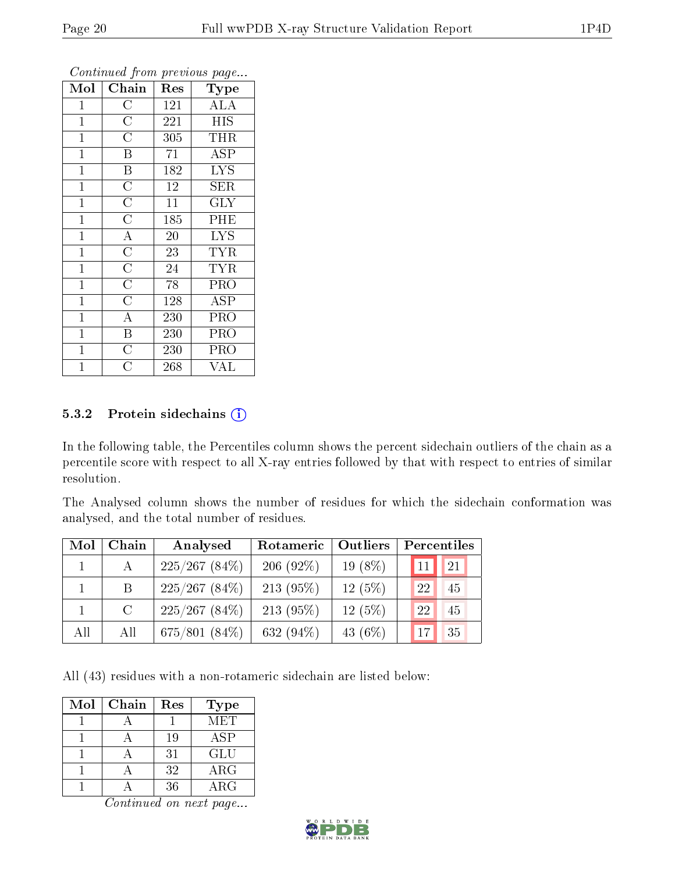| Mol            | Chain                   | Res              | <b>Type</b>               |
|----------------|-------------------------|------------------|---------------------------|
| 1              | $\rm C$                 | 121              | ALA                       |
| $\mathbf 1$    | $\overline{\rm C}$      | 221              | <b>HIS</b>                |
| $\mathbf{1}$   | $\overline{C}$          | 305              | THR                       |
| $\mathbf{1}$   | B                       | 71               | <b>ASP</b>                |
| $\mathbf{1}$   | B                       | $\overline{1}82$ | $\overline{\mathrm{LYS}}$ |
| $\mathbf{1}$   | $\overline{\rm C}$      | 12               | SER                       |
| $\mathbf{1}$   | $\overline{\rm C}$      | 11               | <b>GLY</b>                |
| $\mathbf{1}$   | $\overline{\rm C}$      | 185              | PHE                       |
| $\mathbf{1}$   | $\overline{A}$          | 20               | <b>LYS</b>                |
| $\overline{1}$ | $\overline{\rm C}$      | 23               | <b>TYR</b>                |
| $\mathbf{1}$   | $\overline{\rm C}$      | 24               | <b>TYR</b>                |
| $\mathbf{1}$   | $\overline{\rm C}$      | 78               | PRO                       |
| $\mathbf{1}$   | $\overline{\rm C}$      | 128              | ASP                       |
| $\mathbf 1$    | $\overline{\rm A}$      | 230              | <b>PRO</b>                |
| $\mathbf 1$    | $\overline{\mathrm{B}}$ | 230              | PRO                       |
| $\mathbf{1}$   | $\overline{C}$          | 230              | PRO                       |
| $\overline{1}$ | С                       | 268              | VAL                       |

#### 5.3.2 Protein sidechains (i)

In the following table, the Percentiles column shows the percent sidechain outliers of the chain as a percentile score with respect to all X-ray entries followed by that with respect to entries of similar resolution.

The Analysed column shows the number of residues for which the sidechain conformation was analysed, and the total number of residues.

| Mol | Chain         | Analysed        | Outliers<br>Rotameric |           | Percentiles |  |  |
|-----|---------------|-----------------|-----------------------|-----------|-------------|--|--|
|     | A             | $225/267(84\%)$ | 206 $(92\%)$          | 19 $(8%)$ | 21<br>11    |  |  |
|     | B             | $225/267(84\%)$ | $213(95\%)$           | 12(5%)    | 22<br>45    |  |  |
|     | $\mathcal{C}$ | $225/267(84\%)$ | 213 $(95%)$           | 12(5%)    | 22<br>45    |  |  |
| All | All           | $675/801(84\%)$ | 632 $(94\%)$          | 43 $(6%)$ | 35<br>17    |  |  |

All (43) residues with a non-rotameric sidechain are listed below:

| Mol | Chain | Res | <b>Type</b> |
|-----|-------|-----|-------------|
|     |       |     | MET         |
|     |       | 19  | ASP         |
|     |       | 31  | GLU         |
|     |       | 32  | $\rm{ARG}$  |
|     |       | 36  | A R.G       |

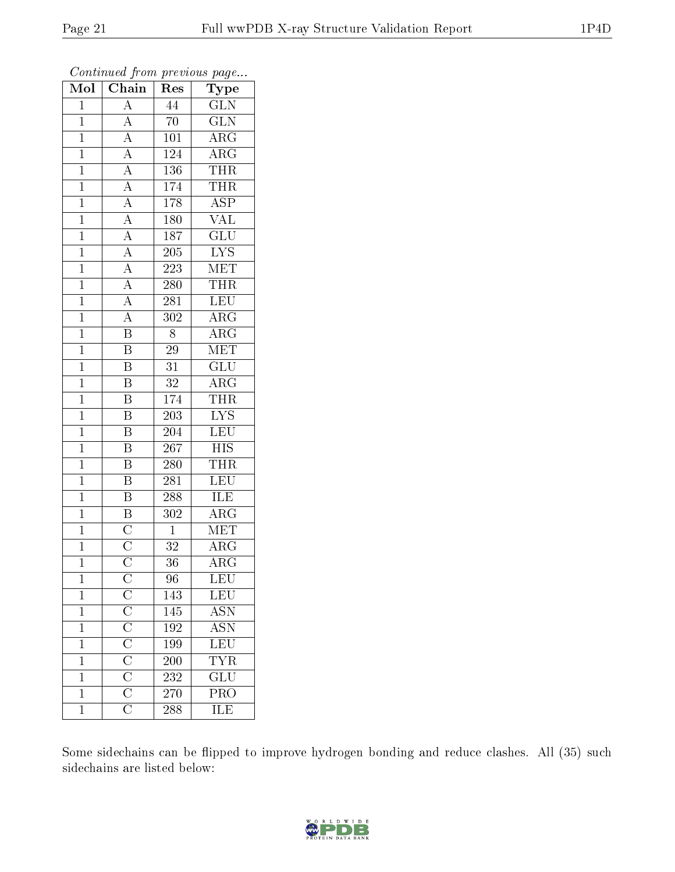| Mol            | $\overline{\text{C}}$ hain                                                                                                                                                                            | Res                         | Type                    |
|----------------|-------------------------------------------------------------------------------------------------------------------------------------------------------------------------------------------------------|-----------------------------|-------------------------|
| $\mathbf{1}$   | $\overline{\rm A}$                                                                                                                                                                                    | 44                          | <b>GLN</b>              |
| $\overline{1}$ | $\overline{A}$                                                                                                                                                                                        | 70                          | <b>GLN</b>              |
| $\mathbf{1}$   | $\overline{A}$                                                                                                                                                                                        | 101                         | $\overline{\rm{ARG}}$   |
| $\mathbf{1}$   | $\overline{A}$                                                                                                                                                                                        | 124                         | $\rm{ARG}$              |
| $\mathbf{1}$   | $\frac{\overline{A}}{\overline{A}}$                                                                                                                                                                   | 136                         | <b>THR</b>              |
| $\mathbf{1}$   |                                                                                                                                                                                                       | 174                         | <b>THR</b>              |
| $\mathbf{1}$   | $\overline{A}$                                                                                                                                                                                        | 178                         | $\overline{\text{ASP}}$ |
| $\mathbf{1}$   | $\overline{A}$                                                                                                                                                                                        | $\overline{180}$            | $\overline{\text{VAL}}$ |
| $\mathbf{1}$   | $\overline{A}$                                                                                                                                                                                        | 187                         | $\overline{\text{GLU}}$ |
| $\mathbf{1}$   | $\overline{A}$                                                                                                                                                                                        | 205                         | $\overline{\text{LYS}}$ |
| $\mathbf{1}$   | $\overline{A}$                                                                                                                                                                                        | $2\overline{2}\overline{3}$ | MET                     |
| $\mathbf{1}$   | $\overline{A}$                                                                                                                                                                                        | 280                         | <b>THR</b>              |
| $\overline{1}$ | $\overline{A}$                                                                                                                                                                                        | 281                         | <b>LEU</b>              |
| $\mathbf{1}$   | $\overline{A}$                                                                                                                                                                                        | 302                         | $\overline{\rm{ARG}}$   |
| $\overline{1}$ | $\overline{\mathrm{B}}$                                                                                                                                                                               | 8                           | $\overline{\rm{ARG}}$   |
| $\mathbf{1}$   | $\overline{\mathrm{B}}$                                                                                                                                                                               | 29                          | MET                     |
| $\overline{1}$ | $\overline{\mathrm{B}}$                                                                                                                                                                               | $\overline{31}$             | $\overline{\text{GLU}}$ |
| $\mathbf{1}$   | $\overline{\mathbf{B}}$                                                                                                                                                                               | $32\,$                      | ${\rm ARG}$             |
| $\mathbf 1$    | $\overline{\mathrm{B}}$                                                                                                                                                                               | 174                         | THR                     |
| $\mathbf{1}$   | $\overline{\mathrm{B}}$                                                                                                                                                                               | 203                         | $\overline{\text{LYS}}$ |
| $\mathbf{1}$   | $\overline{\mathrm{B}}$                                                                                                                                                                               | 204                         | LEU                     |
| $\mathbf{1}$   | $\overline{\mathrm{B}}$                                                                                                                                                                               | 267                         | $\overline{HIS}$        |
| $\mathbf{1}$   | $\overline{\mathbf{B}}$                                                                                                                                                                               | 280                         | <b>THR</b>              |
| $\mathbf{1}$   | $\overline{\mathrm{B}}$                                                                                                                                                                               | 281                         | <b>LEU</b>              |
| $\mathbf{1}$   | $\overline{\mathrm{B}}$                                                                                                                                                                               | 288                         | ILE                     |
| $\mathbf{1}$   | $\overline{\mathbf{B}}$                                                                                                                                                                               | 302                         | $\overline{\rm ARG}$    |
| $\mathbf{1}$   | $\overline{C}$                                                                                                                                                                                        | $\overline{1}$              | MET                     |
| $\mathbf{1}$   | $\frac{\overline{C}}{C}$                                                                                                                                                                              | $3\sqrt{2}$                 | $\rm{ARG}$              |
| $\mathbf{1}$   |                                                                                                                                                                                                       | 36                          | $\overline{\rm{ARG}}$   |
| $\mathbf{1}$   | $\overline{\text{C}}$ $\overline{\text{C}}$ $\overline{\text{C}}$ $\overline{\text{C}}$ $\overline{\text{C}}$ $\overline{\text{C}}$ $\overline{\text{C}}$ $\overline{\text{C}}$ $\overline{\text{C}}$ | 96                          | LEU                     |
| $\mathbf{1}$   |                                                                                                                                                                                                       | 143                         | $\overline{\text{LEU}}$ |
| $\mathbf 1$    |                                                                                                                                                                                                       | 145                         | <b>ASN</b>              |
| $\mathbf 1$    |                                                                                                                                                                                                       | 192                         | <b>ASN</b>              |
| $\mathbf 1$    |                                                                                                                                                                                                       | 199                         | $\overline{\text{LEU}}$ |
| $\mathbf 1$    |                                                                                                                                                                                                       | 200                         | $\overline{\text{YR}}$  |
| $\mathbf 1$    |                                                                                                                                                                                                       | $\overline{232}$            | $\overline{{\rm GLU}}$  |
| $\mathbf{1}$   |                                                                                                                                                                                                       | 270                         | $\overline{\text{PRO}}$ |
| $\overline{1}$ |                                                                                                                                                                                                       | 288                         | $\overline{\text{ILE}}$ |

Some sidechains can be flipped to improve hydrogen bonding and reduce clashes. All (35) such sidechains are listed below:

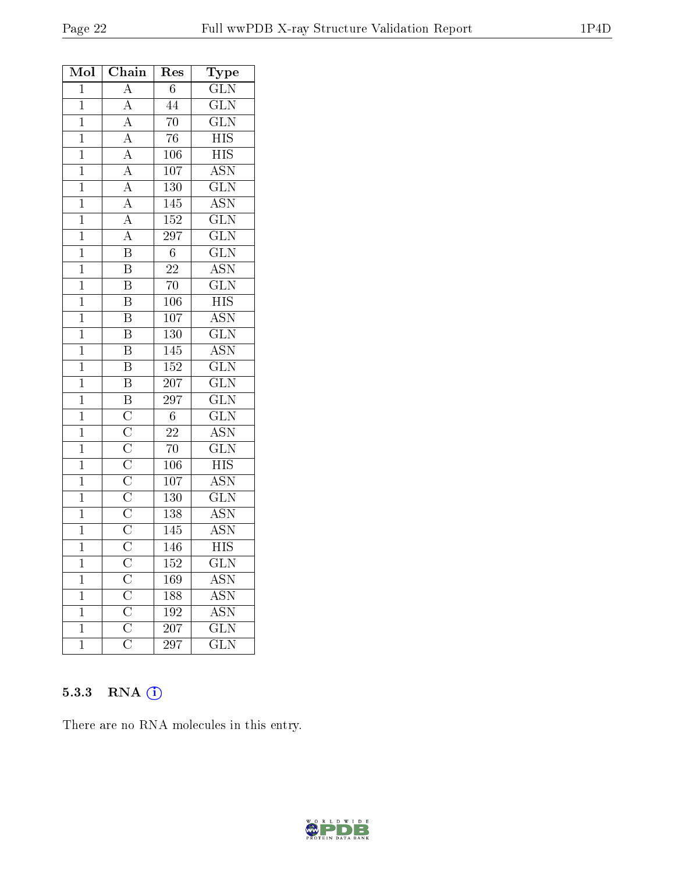| Mol            | Chain                                                                                                                                           | ${\mathop{\mathrm{Res}}\nolimits}$ | Type                      |
|----------------|-------------------------------------------------------------------------------------------------------------------------------------------------|------------------------------------|---------------------------|
| $\mathbf{1}$   | $\overline{A}$                                                                                                                                  | $6\phantom{.0}$                    | $\overline{\text{GLN}}$   |
| $\mathbf{1}$   |                                                                                                                                                 | 44                                 | $\overline{\text{GLN}}$   |
| $\overline{1}$ |                                                                                                                                                 | $\overline{70}$                    | $\overline{\text{GLN}}$   |
| $\overline{1}$ |                                                                                                                                                 | $\overline{76}$                    | $\overline{\mathrm{HIS}}$ |
| $\mathbf{1}$   |                                                                                                                                                 | $106\,$                            | <b>HIS</b>                |
| $\overline{1}$ | $\frac{\overline{A}}{\overline{A}}$ $\frac{\overline{A}}{\overline{A}}$ $\frac{\overline{A}}{\overline{A}}$                                     | $\overline{107}$                   | $\overline{\text{ASN}}$   |
| $\mathbf{1}$   |                                                                                                                                                 | $130\,$                            | $\overline{\text{GLN}}$   |
| $\overline{1}$ |                                                                                                                                                 | 145                                | $\overline{\mathrm{ASN}}$ |
| $\overline{1}$ | $\frac{\overline{A}}{\overline{A}}$                                                                                                             | <b>152</b>                         | $\overline{\text{GLN}}$   |
| $\mathbf{1}$   |                                                                                                                                                 | $\overline{297}$                   | $\overline{\text{GLN}}$   |
| $\overline{1}$ |                                                                                                                                                 | $\overline{6}$                     | $\overline{\text{GLN}}$   |
| $\overline{1}$ | $\overline{\mathbf{B}}$                                                                                                                         | $\overline{22}$                    | $\overline{\text{ASN}}$   |
| $\overline{1}$ | $\overline{\mathrm{B}}$                                                                                                                         | $70\,$                             | $\overline{\text{GLN}}$   |
| $\mathbf{1}$   | $\overline{\mathbf{B}}$                                                                                                                         | 106                                | $\overline{HIS}$          |
| $\mathbf{1}$   | $\overline{\mathbf{B}}$                                                                                                                         | $107\,$                            | <b>ASN</b>                |
| $\mathbf{1}$   | $\overline{\mathbf{B}}$                                                                                                                         | $\overline{130}$                   | $\overline{\text{GLN}}$   |
| $\mathbf{1}$   | $\overline{\mathbf{B}}$                                                                                                                         | 145                                | $\overline{\text{ASN}}$   |
| $\mathbf{1}$   | $\overline{\mathrm{B}}$                                                                                                                         | <b>152</b>                         | $\overline{\text{GLN}}$   |
| $\overline{1}$ | $\overline{B}$                                                                                                                                  | $\overline{207}$                   | $\overline{\text{GLN}}$   |
| $\mathbf{1}$   |                                                                                                                                                 | 297                                | $\overline{\text{GLN}}$   |
| $\mathbf{1}$   |                                                                                                                                                 | $\,6$                              | $\overline{\text{GLN}}$   |
| $\mathbf{1}$   |                                                                                                                                                 | 22                                 | $\overline{\mathrm{ASN}}$ |
| $\overline{1}$ |                                                                                                                                                 | $\overline{70}$                    | $\overline{\text{GLN}}$   |
| $\mathbf{1}$   |                                                                                                                                                 | $106\,$                            | $\overline{\text{HIS}}$   |
| $\mathbf{1}$   |                                                                                                                                                 | $\overline{107}$                   | $\overline{\text{ASN}}$   |
| $\mathbf{1}$   |                                                                                                                                                 | 130                                | $\overline{\text{GLN}}$   |
| $\overline{1}$ | $\frac{\overline{B}}{\overline{C}}$ $\frac{\overline{C}}{\overline{C}}$ $\frac{\overline{C}}{\overline{C}}$ $\frac{\overline{C}}{\overline{C}}$ | 138                                | $\overline{\mathrm{ASN}}$ |
| $\overline{1}$ |                                                                                                                                                 | 145                                | $\overline{\mathrm{ASN}}$ |
| $\mathbf{1}$   |                                                                                                                                                 | 146                                | $\overline{\mathrm{HIS}}$ |
| $\overline{1}$ |                                                                                                                                                 | 152                                | $\overline{\text{GLN}}$   |
| $\mathbf 1$    |                                                                                                                                                 | 169                                | <b>ASN</b>                |
| $\mathbf 1$    |                                                                                                                                                 | 188                                | $A\overline{SN}$          |
| $\mathbf{1}$   |                                                                                                                                                 | 192                                | $\overline{\mathrm{ASN}}$ |
| $\mathbf{1}$   | $\frac{\overline{C}}{\overline{C}}$ $\frac{\overline{C}}{\overline{C}}$                                                                         | 207                                | $\overline{\text{GLN}}$   |
| $\mathbf{1}$   |                                                                                                                                                 | 297                                | $\overline{\text{GLN}}$   |

## 5.3.3 RNA [O](https://www.wwpdb.org/validation/2017/XrayValidationReportHelp#rna)i

There are no RNA molecules in this entry.

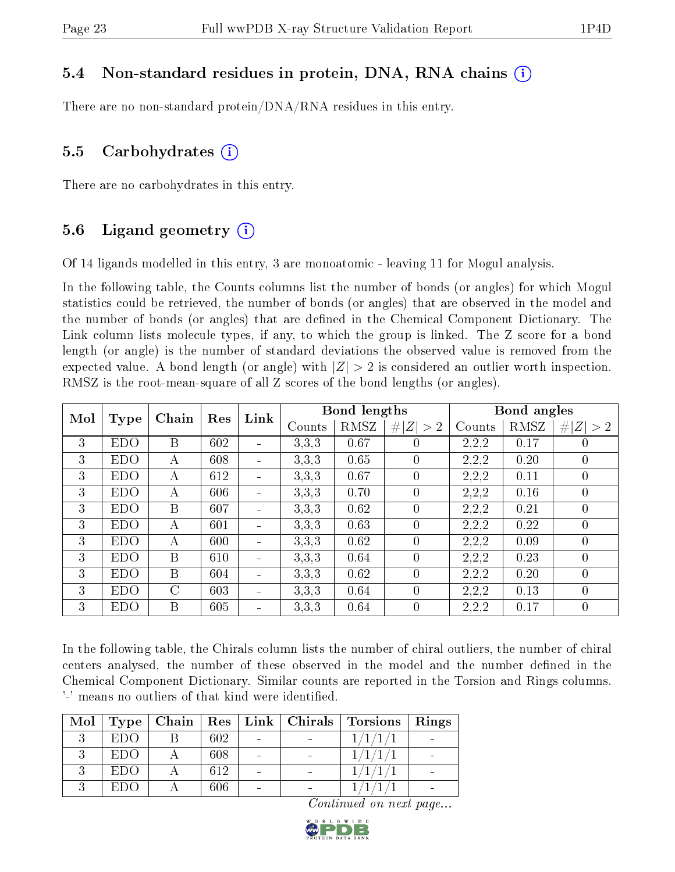## 5.4 Non-standard residues in protein, DNA, RNA chains (i)

There are no non-standard protein/DNA/RNA residues in this entry.

### 5.5 Carbohydrates  $(i)$

There are no carbohydrates in this entry.

## 5.6 Ligand geometry  $(i)$

Of 14 ligands modelled in this entry, 3 are monoatomic - leaving 11 for Mogul analysis.

In the following table, the Counts columns list the number of bonds (or angles) for which Mogul statistics could be retrieved, the number of bonds (or angles) that are observed in the model and the number of bonds (or angles) that are dened in the Chemical Component Dictionary. The Link column lists molecule types, if any, to which the group is linked. The Z score for a bond length (or angle) is the number of standard deviations the observed value is removed from the expected value. A bond length (or angle) with  $|Z| > 2$  is considered an outlier worth inspection. RMSZ is the root-mean-square of all Z scores of the bond lengths (or angles).

| Mol |            | Chain         | Res | Link                         |        | Bond lengths |                |        | Bond angles |                |
|-----|------------|---------------|-----|------------------------------|--------|--------------|----------------|--------|-------------|----------------|
|     | Type       |               |     |                              | Counts | RMSZ         | # $ Z  > 2$    | Counts | RMSZ        | Z >2<br>#      |
| 3   | <b>EDO</b> | B             | 602 | $\overline{\phantom{a}}$     | 3.3.3  | 0.67         | $\theta$       | 2,2,2  | 0.17        | 0              |
| 3   | <b>EDO</b> | А             | 608 | $\qquad \qquad \blacksquare$ | 3.3.3  | 0.65         | $\theta$       | 2,2,2  | 0.20        | 0              |
| 3   | <b>EDO</b> | A             | 612 | $\blacksquare$               | 3.3.3  | 0.67         | $\overline{0}$ | 2,2,2  | 0.11        | $\theta$       |
| 3   | <b>EDO</b> | A             | 606 | $\overline{\phantom{a}}$     | 3.3.3  | 0.70         | $\overline{0}$ | 2,2,2  | 0.16        | 0              |
| 3   | <b>EDO</b> | B             | 607 | $\overline{\phantom{0}}$     | 3.3.3  | 0.62         | $\overline{0}$ | 2,2,2  | 0.21        | $\theta$       |
| 3   | <b>EDO</b> | А             | 601 | $\blacksquare$               | 3,3,3  | 0.63         | $\overline{0}$ | 2,2,2  | 0.22        | $\overline{0}$ |
| 3   | <b>EDO</b> | А             | 600 | $\qquad \qquad \blacksquare$ | 3.3.3  | 0.62         | $\overline{0}$ | 2,2,2  | 0.09        | 0              |
| 3   | <b>EDO</b> | B             | 610 | $\blacksquare$               | 3,3,3  | 0.64         | $\overline{0}$ | 2,2,2  | 0.23        | 0              |
| 3   | <b>EDO</b> | B             | 604 | $\qquad \qquad \blacksquare$ | 3.3.3  | 0.62         | $\theta$       | 2,2,2  | 0.20        | $\overline{0}$ |
| 3   | <b>EDO</b> | $\mathcal{C}$ | 603 | $\equiv$                     | 3.3.3  | 0.64         | $\theta$       | 2,2,2  | 0.13        | $\theta$       |
| 3   | <b>EDO</b> | B             | 605 | $\qquad \qquad \blacksquare$ | 3.3.3  | 0.64         | $\theta$       | 2,2,2  | 0.17        | 0              |

In the following table, the Chirals column lists the number of chiral outliers, the number of chiral centers analysed, the number of these observed in the model and the number defined in the Chemical Component Dictionary. Similar counts are reported in the Torsion and Rings columns. '-' means no outliers of that kind were identified.

| Mol | Type <sub>1</sub> |     |                          | $\mid$ Chain $\mid$ Res $\mid$ Link $\mid$ Chirals $\mid$ Torsions | Rings |
|-----|-------------------|-----|--------------------------|--------------------------------------------------------------------|-------|
|     | <b>EDO</b>        | 602 |                          | 1/1/1/                                                             |       |
|     | EDO.              | 608 |                          |                                                                    |       |
|     | EDO.              | 612 | $\overline{\phantom{0}}$ |                                                                    |       |
|     | EDO               | 606 |                          |                                                                    |       |

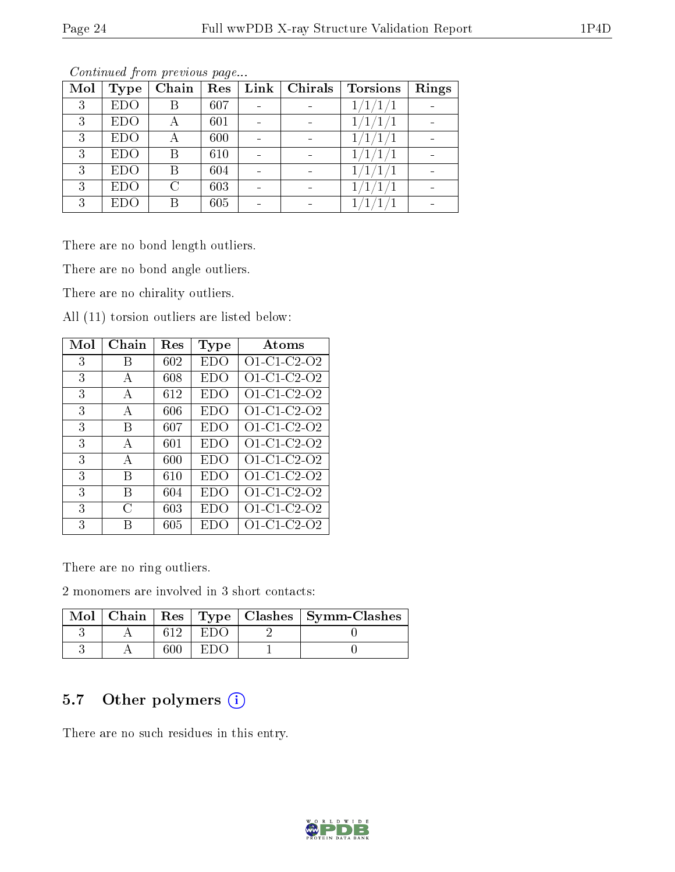| Mol | <b>Type</b> | Chain  | Res | Link | Chirals | Torsions | Rings |
|-----|-------------|--------|-----|------|---------|----------|-------|
| 3   | <b>EDO</b>  | R      | 607 |      |         |          |       |
| 3   | <b>EDO</b>  | А      | 601 |      |         |          |       |
| 3   | <b>EDO</b>  | А      | 600 |      |         |          |       |
| 3   | <b>EDO</b>  | В      | 610 |      |         |          |       |
| 3   | <b>EDO</b>  |        | 604 |      |         |          |       |
| 3   | <b>EDO</b>  | $\cap$ | 603 |      |         |          |       |
| 3   | EDO         |        | 605 |      |         |          |       |

There are no bond length outliers.

There are no bond angle outliers.

There are no chirality outliers.

All (11) torsion outliers are listed below:

| Mol | $Chain$ | $\operatorname{Res}% \left( \mathcal{N}\right) \equiv\operatorname{Res}(\mathcal{N}_{0})\cap\mathcal{N}_{1}$ | Type       | Atoms       |
|-----|---------|--------------------------------------------------------------------------------------------------------------|------------|-------------|
| 3   | В       | 602                                                                                                          | <b>EDO</b> | O1-C1-C2-O2 |
| 3   | A       | 608                                                                                                          | <b>EDO</b> | O1-C1-C2-O2 |
| 3   | A       | 612                                                                                                          | EDO        | O1-C1-C2-O2 |
| 3   | A       | 606                                                                                                          | EDO        | O1-C1-C2-O2 |
| 3   | B       | 607                                                                                                          | EDO        | O1-C1-C2-O2 |
| 3   | A       | 601                                                                                                          | EDO        | O1-C1-C2-O2 |
| 3   | A       | 600                                                                                                          | EDO        | O1-C1-C2-O2 |
| 3   | В       | 610                                                                                                          | EDO        | O1-C1-C2-O2 |
| 3   | В       | 604                                                                                                          | EDO        | O1-C1-C2-O2 |
| 3   | C       | 603                                                                                                          | EDO        | O1-C1-C2-O2 |
| 3   | R       | 605                                                                                                          | EDO        | O1-C1-C2-O2 |

There are no ring outliers.

2 monomers are involved in 3 short contacts:

|  |              | Mol   Chain   Res   Type   Clashes   Symm-Clashes |
|--|--------------|---------------------------------------------------|
|  | . F. L. J. C |                                                   |
|  | H'I M        |                                                   |

## 5.7 [O](https://www.wwpdb.org/validation/2017/XrayValidationReportHelp#nonstandard_residues_and_ligands)ther polymers (i)

There are no such residues in this entry.

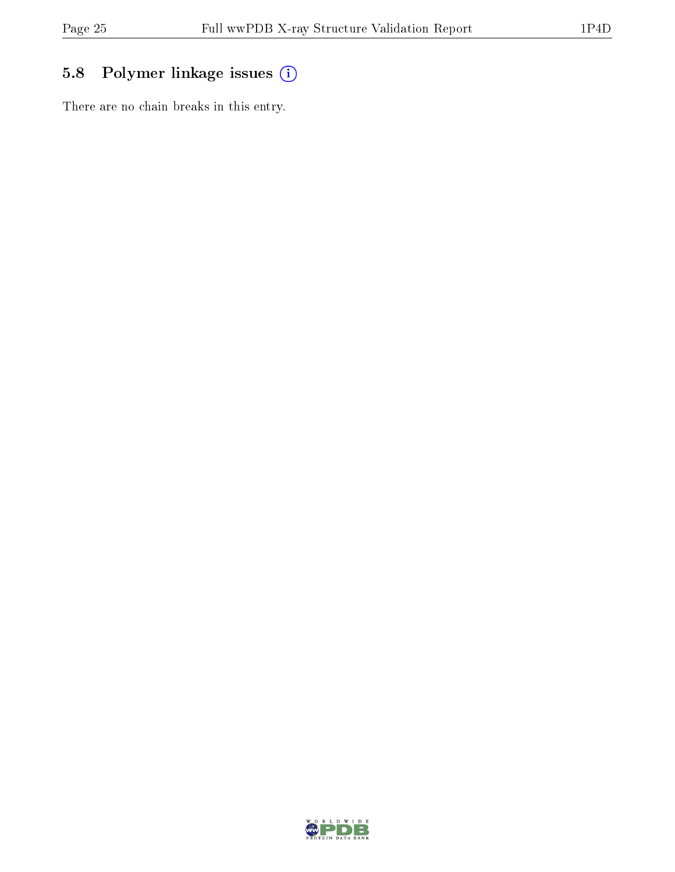# 5.8 Polymer linkage issues (i)

There are no chain breaks in this entry.

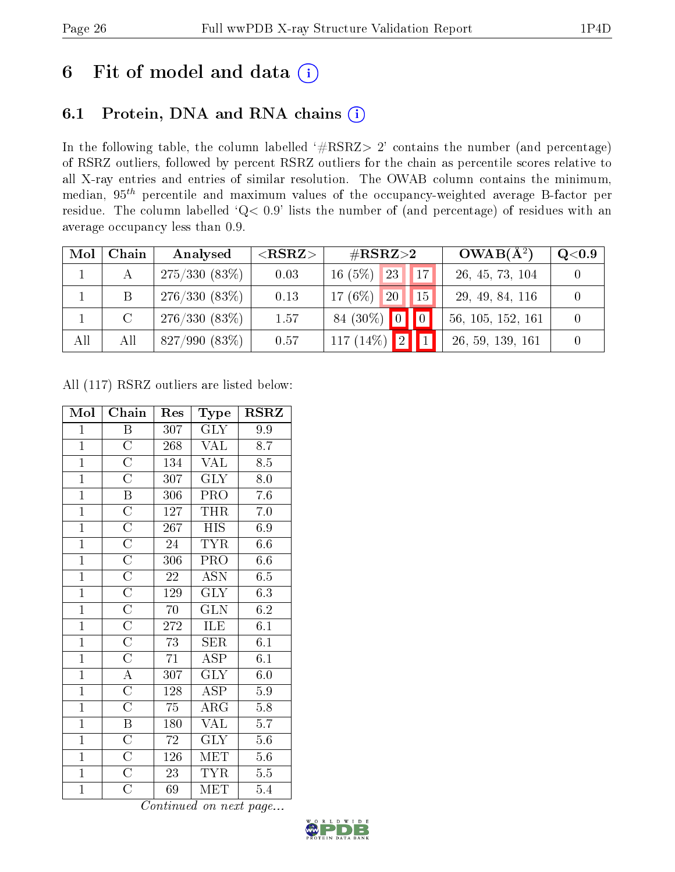# 6 Fit of model and data  $(i)$

## 6.1 Protein, DNA and RNA chains  $(i)$

In the following table, the column labelled  $#RSRZ> 2'$  contains the number (and percentage) of RSRZ outliers, followed by percent RSRZ outliers for the chain as percentile scores relative to all X-ray entries and entries of similar resolution. The OWAB column contains the minimum, median,  $95<sup>th</sup>$  percentile and maximum values of the occupancy-weighted average B-factor per residue. The column labelled ' $Q< 0.9$ ' lists the number of (and percentage) of residues with an average occupancy less than 0.9.

| Mol | Chain   | Analysed        | ${ <\hspace{-1.5pt}{\mathrm{RSRZ}} \hspace{-1.5pt}>}$ | $\#\text{RSRZ}{>}2$             | $OWAB(A^2)$       | $Q<$ 0.9 |
|-----|---------|-----------------|-------------------------------------------------------|---------------------------------|-------------------|----------|
|     |         | $275/330(83\%)$ | 0.03                                                  | $16(5\%)$ 23<br>17 <sup>1</sup> | 26, 45, 73, 104   |          |
|     | B       | $276/330(83\%)$ | 0.13                                                  | $17(6\%)$ 20<br>15 <sup>1</sup> | 29, 49, 84, 116   |          |
|     | $\rm C$ | 276/330(83%)    | 1.57                                                  | 84 (30%) 0 0                    | 56, 105, 152, 161 |          |
| All | All     | $827/990(83\%)$ | 0.57                                                  | 117 $(14\%)$<br>$\bullet$ 2.7   | 26, 59, 139, 161  |          |

All (117) RSRZ outliers are listed below:

| Mol            | Chain                 | Res             | Type                    | <b>RSRZ</b>      |
|----------------|-----------------------|-----------------|-------------------------|------------------|
| $\mathbf{1}$   | Β                     | 307             | <b>GLY</b>              | 9.9              |
| $\overline{1}$ | $\overline{\rm C}$    | 268             | <b>VAL</b>              | 8.7              |
| $\overline{1}$ | $\overline{\rm C}$    | 134             | VAL                     | 8.5              |
| $\overline{1}$ | $\overline{\rm C}$    | 307             | $\overline{\text{GLY}}$ | 8.0              |
| $\overline{1}$ | $\boldsymbol{B}$      | 306             | PRO                     | 7.6              |
| $\overline{1}$ | $\overline{\rm C}$    | 127             | <b>THR</b>              | $7.0\,$          |
| $\overline{1}$ | $\overline{\rm C}$    | 267             | <b>HIS</b>              | 6.9              |
| $\overline{1}$ | $\mathcal C$          | 24              | TYR                     | 6.6              |
| $\overline{1}$ | $\overline{\rm C}$    | 306             | PRO                     | 6.6              |
| $\overline{1}$ | $\overline{\rm C}$    | $\sqrt{22}$     | <b>ASN</b>              | 6.5              |
| $\overline{1}$ | $\overline{\rm C}$    | 129             | $\overline{\text{GLY}}$ | 6.3              |
| $\overline{1}$ | $\overline{\rm C}$    | 70              | <b>GLN</b>              | 6.2              |
| $\mathbf{1}$   | $\overline{\text{C}}$ | 272             | ILE                     | $\overline{6.1}$ |
| $\overline{1}$ | $\overline{\rm C}$    | 73              | SER                     | 6.1              |
| $\overline{1}$ | $\overline{\text{C}}$ | 71              | <b>ASP</b>              | $\overline{6.1}$ |
| $\overline{1}$ | $\overline{\rm A}$    | 307             | $\overline{\text{GLY}}$ | $6.\overline{0}$ |
| $\overline{1}$ | $\overline{\rm C}$    | 128             | <b>ASP</b>              | $5.9\,$          |
| $\overline{1}$ | $\overline{\rm C}$    | $\overline{75}$ | $\overline{\rm{ARG}}$   | $\overline{5.8}$ |
| $\overline{1}$ | Β                     | 180             | VAL                     | 5.7              |
| $\overline{1}$ | $\overline{\text{C}}$ | $\sqrt{72}$     | <b>GLY</b>              | 5.6              |
| $\overline{1}$ | $\overline{\rm C}$    | 126             | $\operatorname{MET}$    | $5.6\,$          |
| $\mathbf{1}$   | $\overline{\rm C}$    | 23              | <b>TYR</b>              | $5.5\,$          |
| $\overline{1}$ | $\overline{\rm C}$    | 69              | MET                     | 5.4              |

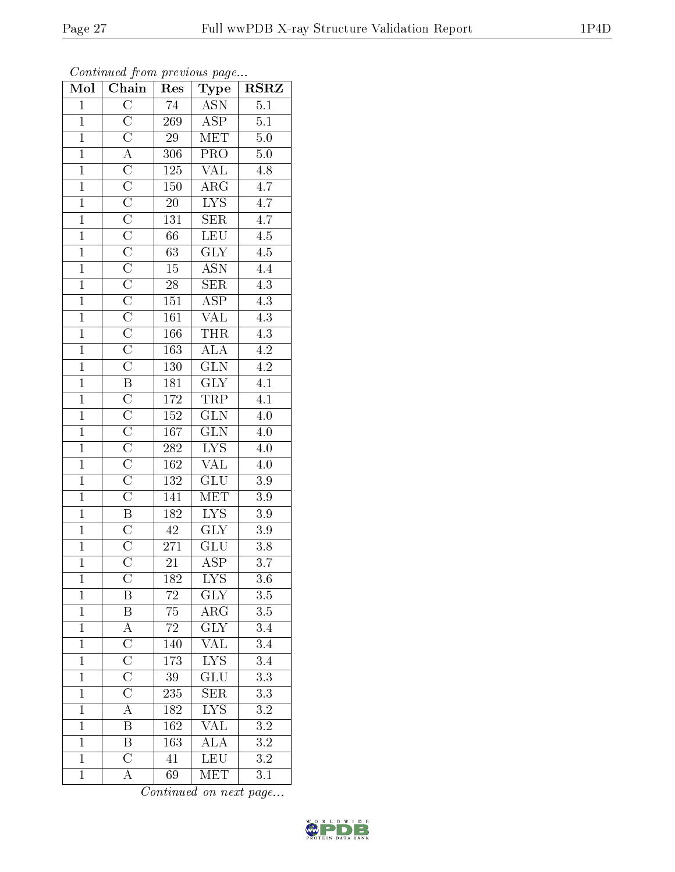| Mol            | Chain                               | Res                         | Type                            | <b>RSRZ</b>      |
|----------------|-------------------------------------|-----------------------------|---------------------------------|------------------|
| $\mathbf{1}$   | $\overline{\rm C}$                  | 74                          | <b>ASN</b>                      | $\overline{5.1}$ |
| $\overline{1}$ | $\frac{\overline{C}}{\overline{C}}$ | 269                         | $\overline{\text{ASP}}$         | $\overline{5.1}$ |
| $\overline{1}$ |                                     | $\overline{29}$             | MET                             | 5.0              |
| $\overline{1}$ | $\overline{A}$                      | $30\overline{6}$            | PRO                             | $5.0\,$          |
| $\overline{1}$ | $\overline{C}$                      | $\overline{125}$            | <b>VAL</b>                      | $\overline{4.8}$ |
| $\overline{1}$ |                                     | 150                         | $\overline{\rm{ARG}}$           | $\overline{4.7}$ |
| $\overline{1}$ | $\frac{\overline{C}}{\overline{C}}$ | $\overline{20}$             | $\overline{\text{LYS}}$         | $\overline{4.7}$ |
| $\overline{1}$ | $\overline{C}$                      | $1\overline{3}\overline{1}$ | $\overline{\text{SER}}$         | $\overline{4.7}$ |
| $\overline{1}$ | $\overline{\text{C}}$               | 66                          | <b>LEU</b>                      | $\overline{4.5}$ |
| $\overline{1}$ | $\frac{\overline{C}}{\overline{C}}$ | $\overline{63}$             | $\overline{\text{GLY}}$         | $\overline{4.5}$ |
| $\overline{1}$ |                                     | $15\,$                      | $\overline{\text{ASN}}$         | $\overline{4.4}$ |
| $\overline{1}$ |                                     | $\overline{28}$             | $\overline{\text{SER}}$         | $\overline{4.3}$ |
| $\overline{1}$ | $\frac{\overline{C}}{\overline{C}}$ | $\overline{151}$            | $\overline{\text{ASP}}$         | $\overline{4.3}$ |
| $\overline{1}$ |                                     | 161                         | $\frac{\text{VAL}}{\text{THR}}$ | $\overline{4.3}$ |
| $\overline{1}$ | $\frac{1}{\mathbf{C}}$              | 166                         |                                 | $\overline{4.3}$ |
| $\overline{1}$ | $\overline{C}$                      | 163                         | $\overline{ALA}$                | $\overline{4.2}$ |
| $\overline{1}$ | $\overline{\rm C}$                  | $\overline{130}$            | $\overline{\text{GLN}}$         | $\overline{4.2}$ |
| $\overline{1}$ | $\overline{\mathbf{B}}$             | 181                         | $\overline{\text{GLY}}$         | $\overline{4.1}$ |
| $\overline{1}$ | $\overline{\rm C}$                  | 172                         | TRP                             | $\overline{4.1}$ |
| $\overline{1}$ |                                     | 152                         | $\overline{\text{GLN}}$         | 4.0              |
| $\overline{1}$ | $\frac{\overline{C}}{\overline{C}}$ | 167                         | $\overline{\text{GLN}}$         | $\overline{4.0}$ |
| $\overline{1}$ |                                     | 282                         | $\overline{\text{LYS}}$         | $\overline{4.0}$ |
| $\mathbf{1}$   | $\frac{\overline{C}}{\overline{C}}$ | 162                         | $\overline{\text{VAL}}$         | 4.0              |
| $\overline{1}$ |                                     | $\overline{132}$            | $\overline{\text{GLU}}$         | $\overline{3.9}$ |
| $\overline{1}$ | $\overline{\rm C}$                  | 141                         | $\overline{\text{MET}}$         | $\overline{3.9}$ |
| $\overline{1}$ | $\overline{B}$                      | 182                         | $\overline{LYS}$                | $\overline{3.9}$ |
| $\overline{1}$ | $\overline{C}$                      | $\overline{42}$             | $\overline{\text{GLY}}$         | $\overline{3.9}$ |
| $\overline{1}$ | $\overline{C}$                      | 271                         | $\overline{\text{GLU}}$         | $3.\overline{8}$ |
| $\overline{1}$ | $\overline{\rm C}$                  | 21                          | $\overline{\text{ASP}}$         | 3.7              |
| $\mathbf{1}$   | $\overline{\rm C}$                  | 182                         | $\overline{\text{LYS}}$         | 3.6              |
| $\overline{1}$ | Β                                   | $72\,$                      | <b>GLY</b>                      | $3.\overline{5}$ |
| $\overline{1}$ | $\overline{\mathrm{B}}$             | $\overline{75}$             | $\overline{\rm{ARG}}$           | $\overline{3.5}$ |
| $\mathbf{1}$   | $\mathbf{A}$                        | $\sqrt{72}$                 | $\overline{\text{GLY}}$         | $\overline{3.4}$ |
| $\overline{1}$ | $\overline{\rm C}$                  | 140                         | $\frac{1}{\sqrt{\mathrm{AL}}}$  | $\overline{3.4}$ |
| $\mathbf{1}$   | $\overline{\rm C}$                  | 173                         | $\overline{\text{L}^\text{YS}}$ | $\overline{3.4}$ |
| $\overline{1}$ | $\overline{\rm C}$                  | $\overline{39}$             | $\overline{{\rm GLU}}$          | $\overline{3.3}$ |
| $\mathbf{1}$   | $\overline{\rm C}$                  | $23\overline{5}$            | <b>SER</b>                      | $\overline{3.3}$ |
| $\mathbf{1}$   | $\overline{A}$                      | 182                         | $\overline{\text{LYS}}$         | $\overline{3.2}$ |
| $\mathbf{1}$   | Β                                   | 162                         | $\sqrt{\text{AL}}$              | $\overline{3.2}$ |
| $\overline{1}$ | B                                   | 163                         | $\overline{\rm ALA}$            | $\overline{3.2}$ |
| $\overline{1}$ | $\overline{\rm C}$                  | $\overline{41}$             | <b>LEU</b>                      | $\overline{3.2}$ |
| $\mathbf{1}$   | A                                   | 69                          | $\overline{\text{MET}}$         | 3.1              |

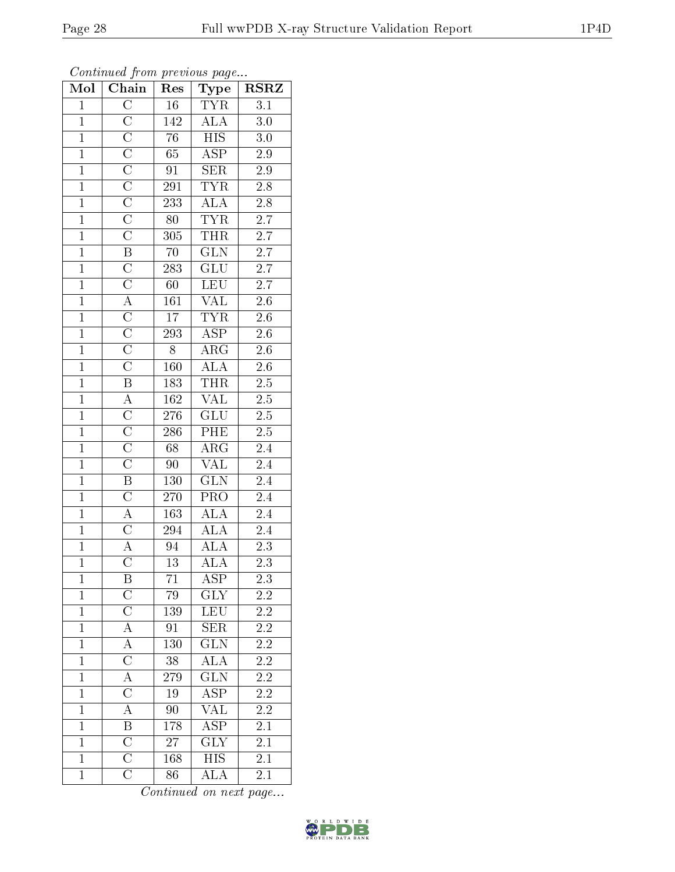| $\mathbf{1}$   | $\mathcal{C}$      | 80  | TYR         | 2.7     |
|----------------|--------------------|-----|-------------|---------|
| $\mathbf{1}$   | $\rm C$            | 305 | <b>THR</b>  | 2.7     |
| $\overline{1}$ | $\mathbf B$        | 70  | <b>GLN</b>  | 2.7     |
| $\overline{1}$ | $\mathcal{C}$      | 283 | GLU         | 2.7     |
| $\overline{1}$ | $\rm C$            | 60  | LEU         | 2.7     |
| $\overline{1}$ | A                  | 161 | VAL         | 2.6     |
| $1\,$          | $\mathcal{C}$      | 17  | TYR         | 2.6     |
| $\overline{1}$ | $\mathcal{C}$      | 293 | <b>ASP</b>  | $2.6\,$ |
| $\mathbf{1}$   | $\mathcal{C}$      | 8   | ${\rm ARG}$ | 2.6     |
| $\overline{1}$ | $\rm C$            | 160 | <b>ALA</b>  | $2.6\,$ |
| $\mathbf{1}$   | $\boldsymbol{B}$   | 183 | <b>THR</b>  | 2.5     |
| $\mathbf{1}$   | $\boldsymbol{A}$   | 162 | <b>VAL</b>  | 2.5     |
| $\overline{1}$ | $\overline{C}$     | 276 | <b>GLU</b>  | $2.5\,$ |
| $\overline{1}$ | $\mathcal{C}$      | 286 | PHE         | $2.5\,$ |
| $\overline{1}$ | $\mathcal{C}$      | 68  | $\rm{ARG}$  | 2.4     |
| $\mathbf{1}$   | $\rm C$            | 90  | VAL         | 2.4     |
| $\mathbf{1}$   | B                  | 130 | <b>GLN</b>  | 2.4     |
| $\overline{1}$ | $\overline{\rm C}$ | 270 | PRO         | 2.4     |

 $1 \mid A \mid 163 \mid ALA \mid 2.4$ 1 | C | 294 | ALA | 2.4 1 | A | 94 | ALA | 2.3

1 C 13 ALA 2.3<br>1 B 71 ASP 2.3 1 B 71 ASP 2.3 1 C 79 GLY 2.2 1 | C | 139 | LEU | 2.2 1 | A | 91 | SER | 2.2 1 | A | 130 | GLN | 2.2 1 C 38 ALA 2.2 1 | A | 279 | GLN | 2.2 1 | C | 19 | ASP | 2.2 1 A 90 VAL 2.2 1 B 178 ASP 2.1

1 C 27 GLY 2.1<br>1 C 168 HIS 2.1

1 | C | 86 | ALA | 2.1

1 C 168 HIS

Mol | Chain | Res | Type | RSRZ 1 | C | 16 | TYR | 3.1 1 C 142 ALA 3.0 1 | C | 76 | HIS | 3.0 1 C 65 ASP 2.9 1 C 91 SER 2.9 1 C 291 TYR 2.8 1 C 233 ALA 2.8

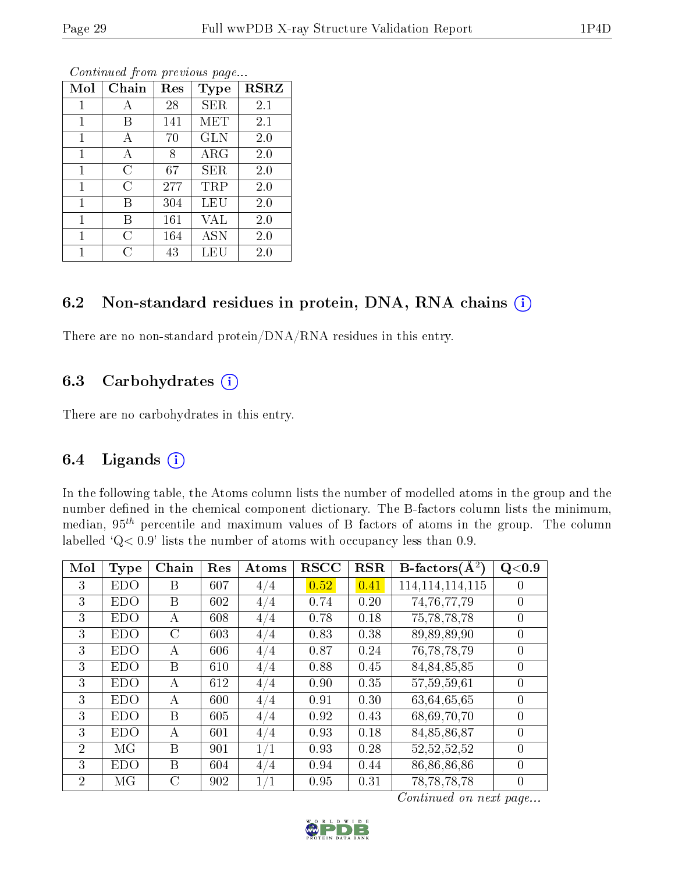| Mol | Chain | $\operatorname{Res}% \left( \mathcal{N}\right) \equiv\operatorname{Res}(\mathcal{N}_{0})\cap\mathcal{N}_{1}$ | <b>Type</b> | <b>RSRZ</b> |
|-----|-------|--------------------------------------------------------------------------------------------------------------|-------------|-------------|
| 1   |       | 28                                                                                                           | SER         | 2.1         |
| 1   | В     | 141                                                                                                          | MET         | 2.1         |
| 1   | А     | 70                                                                                                           | <b>GLN</b>  | 2.0         |
| 1   | А     | 8                                                                                                            | $\rm{ARG}$  | 2.0         |
| 1   | C     | 67                                                                                                           | <b>SER</b>  | 2.0         |
| 1   | C     | 277                                                                                                          | TRP         | 2.0         |
| 1   | В     | 304                                                                                                          | LEU         | 2.0         |
| 1   | В     | 161                                                                                                          | VAL         | 2.0         |
| 1   | C     | 164                                                                                                          | <b>ASN</b>  | 2.0         |
|     | ( )   | 43                                                                                                           | LEU         | $2.0\,$     |

#### 6.2 Non-standard residues in protein, DNA, RNA chains (i)

There are no non-standard protein/DNA/RNA residues in this entry.

### 6.3 Carbohydrates (i)

There are no carbohydrates in this entry.

## 6.4 Ligands  $(i)$

In the following table, the Atoms column lists the number of modelled atoms in the group and the number defined in the chemical component dictionary. The B-factors column lists the minimum, median,  $95<sup>th</sup>$  percentile and maximum values of B factors of atoms in the group. The column labelled  $Q < 0.9$ ' lists the number of atoms with occupancy less than 0.9.

| Mol            | <b>Type</b> | Chain | Res | Atoms | <b>RSCC</b> | <b>RSR</b> | B-factors $(\overline{A^2})$ | Q <sub>0.9</sub> |
|----------------|-------------|-------|-----|-------|-------------|------------|------------------------------|------------------|
| 3              | <b>EDO</b>  | B     | 607 | 4/4   | 0.52        | 0.41       | 114, 114, 114, 115           |                  |
| 3              | <b>EDO</b>  | B     | 602 | 4/4   | 0.74        | 0.20       | 74, 76, 77, 79               | $\theta$         |
| 3              | <b>EDO</b>  | А     | 608 | 4/4   | 0.78        | 0.18       | 75, 78, 78, 78               | $\theta$         |
| 3              | <b>EDO</b>  | C     | 603 | 4/4   | 0.83        | 0.38       | 89,89,89,90                  | $\theta$         |
| 3              | <b>EDO</b>  | А     | 606 | 4/4   | 0.87        | 0.24       | 76, 78, 78, 79               | $\theta$         |
| 3              | <b>EDO</b>  | B     | 610 | 4/4   | 0.88        | 0.45       | 84,84,85,85                  | $\theta$         |
| 3              | <b>EDO</b>  | А     | 612 | 4/4   | 0.90        | 0.35       | 57,59,59,61                  | 0                |
| 3              | <b>EDO</b>  | А     | 600 | 4/4   | 0.91        | 0.30       | 63,64,65,65                  | $\theta$         |
| 3              | <b>EDO</b>  | B     | 605 | 4/4   | 0.92        | 0.43       | 68,69,70,70                  | $\Omega$         |
| 3              | <b>EDO</b>  | A     | 601 | 4/4   | 0.93        | 0.18       | 84,85,86,87                  | $\Omega$         |
| $\overline{2}$ | MG          | B     | 901 | 1/1   | 0.93        | 0.28       | 52, 52, 52, 52               | $\theta$         |
| 3              | EDO         | B     | 604 | 4/4   | 0.94        | 0.44       | 86,86,86,86                  | $\theta$         |
| $\overline{2}$ | MG          | C     | 902 | 1/1   | 0.95        | 0.31       | 78, 78, 78, 78               | $\theta$         |